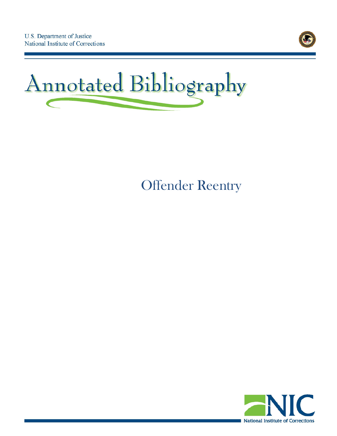



# Offender Reentry

<span id="page-0-0"></span>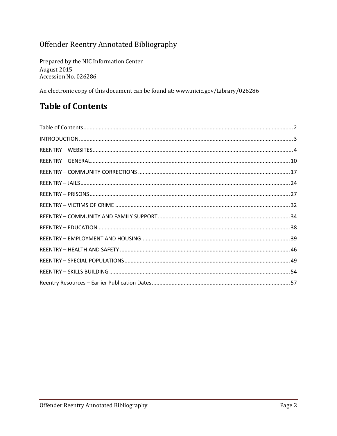### Offender Reentry Annotated Bibliography

Prepared by the NIC Information Center August 2015 Accession No. 026286

An electronic copy of this document can be found at: www.nicic.gov/Library/026286

# <span id="page-1-0"></span>**Table of Contents**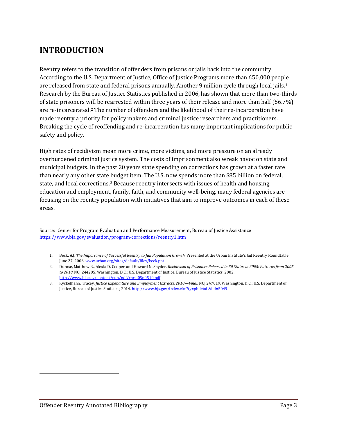# <span id="page-2-0"></span>**INTRODUCTION**

Reentry refers to the transition of offenders from prisons or jails back into the community. According to the U.S. Department of Justice, Office of Justice Programs more than 650,000 people are released from state and federal prisons annually. Another 9 million cycle through local jails.[1](#page-0-0) Research by the Bureau of Justice Statistics published in 2006, has shown that more than two-thirds of state prisoners will be rearrested within three years of their release and more than half (56.7%) are re-incarcerated.[2](#page-2-1) The number of offenders and the likelihood of their re-incarceration have made reentry a priority for policy makers and criminal justice researchers and practitioners. Breaking the cycle of reoffending and re-incarceration has many important implications for public safety and policy.

High rates of recidivism mean more crime, more victims, and more pressure on an already overburdened criminal justice system. The costs of imprisonment also wreak havoc on state and municipal budgets. In the past 20 years state spending on corrections has grown at a faster rate than nearly any other state budget item. The U.S. now spends more than \$85 billion on federal, state, and local corrections.[3](#page-2-2) Because reentry intersects with issues of health and housing, education and employment, family, faith, and community well-being, many federal agencies are focusing on the reentry population with initiatives that aim to improve outcomes in each of these areas.

Source: Center for Program Evaluation and Performance Measurement, Bureau of Justice Assistance <https://www.bja.gov/evaluation/program-corrections/reentry1.htm>

- 1. Beck, A.J. *The Importance of Successful Reentry to Jail Population Growth.* Presented at the Urban Institute's Jail Reentry Roundtable, June 27, 2006[. www.urban.org/sites/default/files/beck.ppt](http://www.urban.org/sites/default/files/beck.ppt)
- 2. Durose, Matthew R., Alexia D. Cooper, and Howard N. Snyder. *Recidivism of Prisoners Released in 30 States in 2005: Patterns from 2005 to 2010*. NCJ 244205. Washington, D.C.: U.S. Department of Justice, Bureau of Justice Statistics, 2002. <http://www.bjs.gov/content/pub/pdf/rprts05p0510.pdf>
- 3. Kyckelhahn, Tracey. *Justice Expenditure and Employment Extracts, 2010—Final.* NCJ 247019. Washington. D.C.: U.S. Department of Justice, Bureau of Justice Statistics, 2014[. http://www.bjs.gov/index.cfm?ty=pbdetail&iid=5049](http://www.bjs.gov/index.cfm?ty=pbdetail&iid=5049)

<span id="page-2-2"></span><span id="page-2-1"></span> $\overline{a}$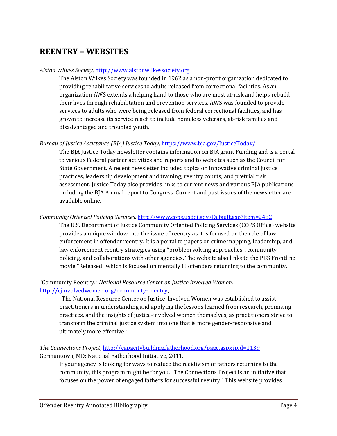# <span id="page-3-0"></span>**REENTRY – WEBSITES**

#### *Alston Wilkes Society,* [http://www.alstonwilkessociety.org](http://www.alstonwilkessociety.org/)

The Alston Wilkes Society was founded in 1962 as a non-profit organization dedicated to providing rehabilitative services to adults released from correctional facilities. As an organization AWS extends a helping hand to those who are most at-risk and helps rebuild their lives through rehabilitation and prevention services. AWS was founded to provide services to adults who were being released from federal correctional facilities, and has grown to increase its service reach to include homeless veterans, at-risk families and disadvantaged and troubled youth.

#### *Bureau of Justice Assistance (BJA) Justice Today,* <https://www.bja.gov/JusticeToday/>

The BJA Justice Today newsletter contains information on BJA grant Funding and is a portal to various Federal partner activities and reports and to websites such as the Council for State Government. A recent newsletter included topics on innovative criminal justice practices, leadership development and training; reentry courts; and pretrial risk assessment. Justice Today also provides links to current news and various BJA publications including the BJA Annual report to Congress. Current and past issues of the newsletter are available online.

#### *Community Oriented Policing Services,* <http://www.cops.usdoj.gov/Default.asp?Item=2482>

The U.S. Department of Justice Community Oriented Policing Services (COPS Office) website provides a unique window into the issue of reentry as it is focused on the role of law enforcement in offender reentry. It is a portal to papers on crime mapping, leadership, and law enforcement reentry strategies using "problem solving approaches", community policing, and collaborations with other agencies. The website also links to the PBS Frontline movie "Released" which is focused on mentally ill offenders returning to the community.

#### "Community Reentry." *National Resource Center on Justice Involved Women*. [http://cjinvolvedwomen.org/community-reentry,](http://cjinvolvedwomen.org/community-reentry)

"The National Resource Center on Justice-Involved Women was established to assist practitioners in understanding and applying the lessons learned from research, promising practices, and the insights of justice-involved women themselves, as practitioners strive to transform the criminal justice system into one that is more gender-responsive and ultimately more effective."

*The Connections Project*,<http://capacitybuilding.fatherhood.org/page.aspx?pid=1139> Germantown, MD: National Fatherhood Initiative, 2011.

If your agency is looking for ways to reduce the recidivism of fathers returning to the community, this program might be for you. "The Connections Project is an initiative that focuses on the power of engaged fathers for successful reentry." This website provides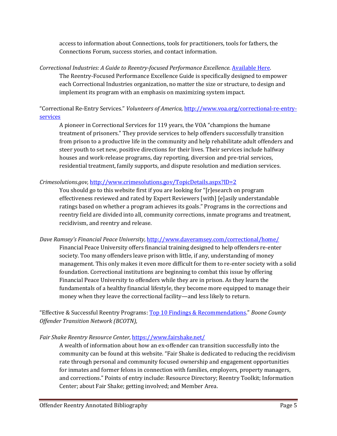access to information about Connections, tools for practitioners, tools for fathers, the Connections Forum, success stories, and contact information.

*Correctional Industries: A Guide to Reentry-focused Performance Excellence*. [Available Here.](http://info.nicic.gov/cirs/) The Reentry-Focused Performance Excellence Guide is specifically designed to empower each Correctional Industries organization, no matter the size or structure, to design and implement its program with an emphasis on maximizing system impact.

"Correctional Re-Entry Services." *Volunteers of America,* [http://www.voa.org/correctional-re-entry](http://www.voa.org/correctional-re-entry-services)[services](http://www.voa.org/correctional-re-entry-services)

A pioneer in Correctional Services for 119 years, the VOA "champions the humane treatment of prisoners." They provide services to help offenders successfully transition from prison to a productive life in the community and help rehabilitate adult offenders and steer youth to set new, positive directions for their lives. Their services include halfway houses and work-release programs, day reporting, diversion and pre-trial services, residential treatment, family supports, and dispute resolution and mediation services.

#### *Crimesolutions.gov,* <http://www.crimesolutions.gov/TopicDetails.aspx?ID=2>

You should go to this website first if you are looking for "[r]esearch on program effectiveness reviewed and rated by Expert Reviewers [with] [e]asily understandable ratings based on whether a program achieves its goals." Programs in the corrections and reentry field are divided into all, community corrections, inmate programs and treatment, recidivism, and reentry and release.

*Dave Ramsey's Financial Peace University,* <http://www.daveramsey.com/correctional/home/>

Financial Peace University offers financial training designed to help offenders re-enter society. Too many offenders leave prison with little, if any, understanding of money management. This only makes it even more difficult for them to re-enter society with a solid foundation. Correctional institutions are beginning to combat this issue by offering Financial Peace University to offenders while they are in prison. As they learn the fundamentals of a healthy financial lifestyle, they become more equipped to manage their money when they leave the correctional facility—and less likely to return.

"Effective & Successful Reentry Programs[: Top 10 Findings & Recommendations."](http://bcotn.org/subcommittees/csct/top_10_best_practice_findings_and_recommendations.pdf) *Boone County Offender Transition Network (BCOTN),*

*Fair Shake Reentry Resource Center,* <https://www.fairshake.net/>

A wealth of information about how an ex-offender can transition successfully into the community can be found at this website. "Fair Shake is dedicated to reducing the recidivism rate through personal and community focused ownership and engagement opportunities for inmates and former felons in connection with families, employers, property managers, and corrections." Points of entry include: Resource Directory; Reentry Toolkit; Information Center; about Fair Shake; getting involved; and Member Area.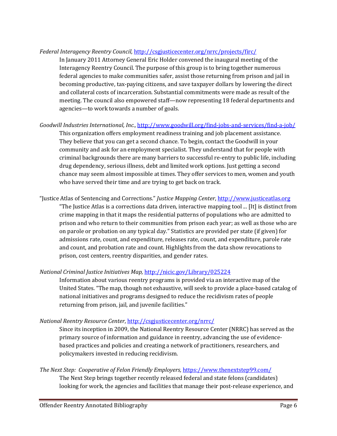#### *Federal Interagency Reentry Council,* <http://csgjusticecenter.org/nrrc/projects/firc/>

In January 2011 Attorney General Eric Holder convened the inaugural meeting of the Interagency Reentry Council. The purpose of this group is to bring together numerous federal agencies to make communities safer, assist those returning from prison and jail in becoming productive, tax-paying citizens, and save taxpayer dollars by lowering the direct and collateral costs of incarceration. Substantial commitments were made as result of the meeting. The council also empowered staff—now representing 18 federal departments and agencies—to work towards a number of goals.

- *Goodwill Industries International, Inc.,* <http://www.goodwill.org/find-jobs-and-services/find-a-job/> This organization offers employment readiness training and job placement assistance. They believe that you can get a second chance. To begin, contact the Goodwill in your community and ask for an employment specialist. They understand that for people with criminal backgrounds there are many barriers to successful re-entry to public life, including drug dependency, serious illness, debt and limited work options. Just getting a second chance may seem almost impossible at times. They offer services to men, women and youth who have served their time and are trying to get back on track.
- "Justice Atlas of Sentencing and Corrections." *Justice Mapping Center*[, http://www.justiceatlas.org](http://www.justiceatlas.org/) "The Justice Atlas is a corrections data driven, interactive mapping tool ... [It] is distinct from crime mapping in that it maps the residential patterns of populations who are admitted to prison and who return to their communities from prison each year; as well as those who are on parole or probation on any typical day." Statistics are provided per state (if given) for admissions rate, count, and expenditure, releases rate, count, and expenditure, parole rate and count, and probation rate and count. Highlights from the data show revocations to prison, cost centers, reentry disparities, and gender rates.

#### *National Criminal Justice Initiatives Map,* <http://nicic.gov/Library/025224>

Information about various reentry programs is provided via an interactive map of the United States. "The map, though not exhaustive, will seek to provide a place-based catalog of national initiatives and programs designed to reduce the recidivism rates of people returning from prison, jail, and juvenile facilities."

*National Reentry Resource Center*[, http://csgjusticecenter.org/nrrc/](http://csgjusticecenter.org/nrrc/)

Since its inception in 2009, the National Reentry Resource Center (NRRC) has served as the primary source of information and guidance in reentry, advancing the use of evidencebased practices and policies and creating a network of practitioners, researchers, and policymakers invested in reducing recidivism.

*The Next Step: Cooperative of Felon Friendly Employers,* <https://www.thenextstep99.com/> The Next Step brings together recently released federal and state felons (candidates) looking for work, the agencies and facilities that manage their post-release experience, and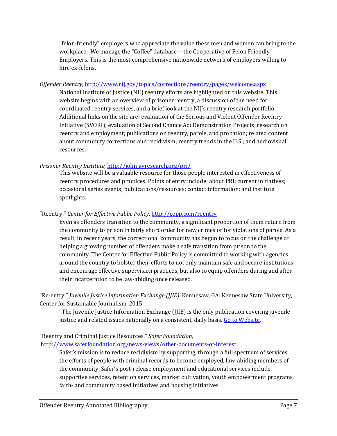"felon-friendly" employers who appreciate the value these men and women can bring to the workplace. We manage the "Coffee" database -- the Cooperative of Felon Friendly Employers. This is the most comprehensive nationwide network of employers willing to hire ex-felons.

*Offender Reentry*,<http://www.nij.gov/topics/corrections/reentry/pages/welcome.aspx>

National Institute of Justice (NIJ) reentry efforts are highlighted on this website. This website begins with an overview of prisoner reentry, a discussion of the need for coordinated reentry services, and a brief look at the NIJ's reentry research portfolio. Additional links on the site are: evaluation of the Serious and Violent Offender Reentry Initiative (SVORI); evaluation of Second Chance Act Demonstration Projects; research on reentry and employment; publications on reentry, parole, and probation; related content about community corrections and recidivism; reentry trends in the U.S.; and audiovisual resources.

#### *Prisoner Reentry Institute,* <http://johnjayresearch.org/pri/>

This website will be a valuable resource for those people interested in effectiveness of reentry procedures and practices. Points of entry include: about PRI; current initiatives; occasional series events; publications/resources; contact information; and institute spotlights.

"Reentry." *Center for Effective Public Policy,* <http://cepp.com/reentry>

Even as offenders transition to the community, a significant proportion of them return from the community to prison in fairly short order for new crimes or for violations of parole. As a result, in recent years, the correctional community has begun to focus on the challenge of helping a growing number of offenders make a safe transition from prison to the community. The Center for Effective Public Policy is committed to working with agencies around the country to bolster their efforts to not only maintain safe and secure institutions and encourage effective supervision practices, but also to equip offenders during and after their incarceration to be law-abiding once released.

"Re-entry." *Juvenile Justice Information Exchange (JJIE)*. Kennesaw, GA: Kennesaw State University, Center for Sustainable Journalism, 2015.

"The Juvenile Justice Information Exchange (JJIE) is the only publication covering juvenile justice and related issues nationally on a consistent, daily basis. Go to Website.

#### "Reentry and Criminal Justice Resources." *Safer Foundation*,

<http://www.saferfoundation.org/news-views/other-documents-of-interest>

Safer's mission is to reduce recidivism by supporting, through a full spectrum of services, the efforts of people with criminal records to become employed, law-abiding members of the community. Safer's post-release employment and educational services include supportive services, retention services, market cultivation, youth empowerment programs, faith- and community based initiatives and housing initiatives.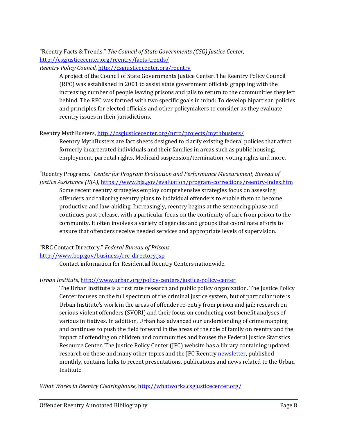"Reentry Facts & Trends." *The Council of State Governments (CSG) Justice Center,*  <http://csgjusticecenter.org/reentry/facts-trends/>

*Reentry Policy Council,* <http://csgjusticecenter.org/reentry>

A project of the Council of State Governments Justice Center. The Reentry Policy Council (RPC) was established in 2001 to assist state government officials grappling with the increasing number of people leaving prisons and jails to return to the communities they left behind. The RPC was formed with two specific goals in mind: To develop bipartisan policies and principles for elected officials and other policymakers to consider as they evaluate reentry issues in their jurisdictions.

#### Reentry MythBusters,<http://csgjusticecenter.org/nrrc/projects/mythbusters/>

Reentry MythBusters are fact sheets designed to clarify existing federal policies that affect formerly incarcerated individuals and their families in areas such as public housing, employment, parental rights, Medicaid suspension/termination, voting rights and more.

"Reentry Programs." *Center for Program Evaluation and Performance Measurement, Bureau of Justice Assistance (BJA),* <https://www.bja.gov/evaluation/program-corrections/reentry-index.htm>

Some recent reentry strategies employ comprehensive strategies focus on assessing offenders and tailoring reentry plans to individual offenders to enable them to become productive and law-abiding. Increasingly, reentry begins at the sentencing phase and continues post-release, with a particular focus on the continuity of care from prison to the community. It often involves a variety of agencies and groups that coordinate efforts to ensure that offenders receive needed services and appropriate levels of supervision.

"RRC Contact Directory." *Federal Bureau of Prisons*,

#### [http://www.bop.gov/business/rrc\\_directory.jsp](http://www.bop.gov/business/rrc_directory.jsp)

Contact information for Residential Reentry Centers nationwide.

#### *Urban Institute,* <http://www.urban.org/policy-centers/justice-policy-center>

The Urban Institute is a first rate research and public policy organization. The Justice Policy Center focuses on the full spectrum of the criminal justice system, but of particular note is Urban Institute's work in the areas of offender re-entry from prison and jail; research on serious violent offenders (SVORI) and their focus on conducting cost-benefit analyses of various initiatives. In addition, Urban has advanced our understanding of crime mapping and continues to push the field forward in the areas of the role of family on reentry and the impact of offending on children and communities and houses the Federal Justice Statistics Resource Center. The Justice Policy Center (JPC) website has a library containing updated research on these and many other topics and the JPC Reentry [newsletter,](mailto:jpcgeneral@lists.urban.org) published monthly, contains links to recent presentations, publications and news related to the Urban Institute.

*What Works in Reentry Clearinghouse,* <http://whatworks.csgjusticecenter.org/>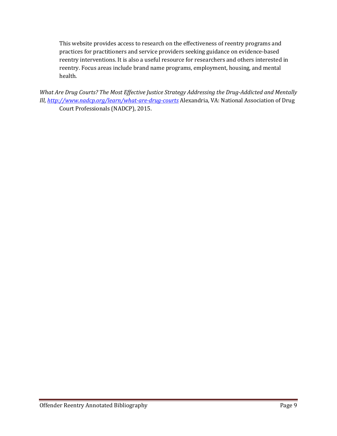This website provides access to research on the effectiveness of reentry programs and practices for practitioners and service providers seeking guidance on evidence-based reentry interventions. It is also a useful resource for researchers and others interested in reentry. Focus areas include brand name programs, employment, housing, and mental health.

*What Are Drug Courts? The Most Effective Justice Strategy Addressing the Drug-Addicted and Mentally Ill,<http://www.nadcp.org/learn/what-are-drug-courts>* Alexandria, VA: National Association of Drug Court Professionals (NADCP), 2015.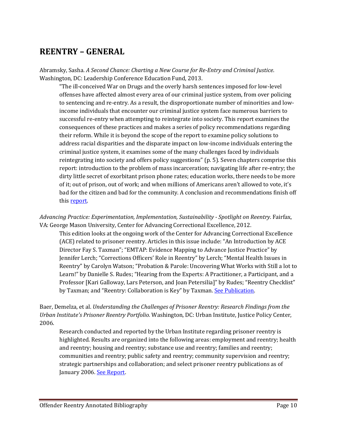# <span id="page-9-0"></span>**REENTRY – GENERAL**

Abramsky, Sasha. *A Second Chance: Charting a New Course for Re-Entry and Criminal Justice*. Washington, DC: Leadership Conference Education Fund, 2013.

"The ill-conceived War on Drugs and the overly harsh sentences imposed for low-level offenses have affected almost every area of our criminal justice system, from over policing to sentencing and re-entry. As a result, the disproportionate number of minorities and lowincome individuals that encounter our criminal justice system face numerous barriers to successful re-entry when attempting to reintegrate into society. This report examines the consequences of these practices and makes a series of policy recommendations regarding their reform. While it is beyond the scope of the report to examine policy solutions to address racial disparities and the disparate impact on low-income individuals entering the criminal justice system, it examines some of the many challenges faced by individuals reintegrating into society and offers policy suggestions" (p. 5). Seven chapters comprise this report: introduction to the problem of mass incarceration; navigating life after re-entry; the dirty little secret of exorbitant prison phone rates; education works, there needs to be more of it; out of prison, out of work; and when millions of Americans aren't allowed to vote, it's bad for the citizen and bad for the community. A conclusion and recommendations finish off this [report.](http://nicic.gov/library/027803)

*Advancing Practice: Experimentation, Implementation, Sustainability - Spotlight on Reentry*. Fairfax, VA: George Mason University, Center for Advancing Correctional Excellence, 2012.

This edition looks at the ongoing work of the Center for Advancing Correctional Excellence (ACE) related to prisoner reentry. Articles in this issue include: "An Introduction by ACE Director Fay S. Taxman"; "EMTAP: Evidence Mapping to Advance Justice Practice" by Jennifer Lerch; "Corrections Officers' Role in Reentry" by Lerch; "Mental Health Issues in Reentry" by Carolyn Watson; "Probation & Parole: Uncovering What Works with Still a lot to Learn!" by Danielle S. Rudes; "Hearing from the Experts: A Practitioner, a Participant, and a Professor [Kari Galloway, Lars Peterson, and Joan Petersilia]" by Rudes; "Reentry Checklist" by Taxman; and "Reentry: Collaboration is Key" by Taxman. [See Publication.](http://nicic.gov/Library/026037)

#### Baer, Demelza, et al. *Understanding the Challenges of Prisoner Reentry: Research Findings from the Urban Institute's Prisoner Reentry Portfolio.* Washington, DC: Urban Institute, Justice Policy Center, 2006.

Research conducted and reported by the Urban Institute regarding prisoner reentry is highlighted. Results are organized into the following areas: employment and reentry; health and reentry; housing and reentry; substance use and reentry; families and reentry; communities and reentry; public safety and reentry; community supervision and reentry; strategic partnerships and collaboration; and select prisoner reentry publications as of January 2006. [See Report.](http://www.urban.org/UploadedPDF/411289_reentry_portfolio.pdf)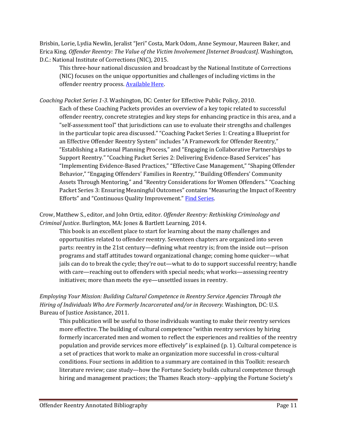Brisbin, Lorie, Lydia Newlin, Jeralist "Jeri" Costa, Mark Odom, Anne Seymour, Maureen Baker, and Erica King. *Offender Reentry: The Value of the Victim Involvement [Internet Broadcast]*. Washington, D.C.: National Institute of Corrections (NIC), 2015.

This three-hour national discussion and broadcast by the National Institute of Corrections (NIC) focuses on the unique opportunities and challenges of including victims in the offender reentry process. [Available Here.](http://nicic.gov/library/029682)

*Coaching Packet Series 1-3.* Washington, DC: Center for Effective Public Policy, 2010.

Each of these Coaching Packets provides an overview of a key topic related to successful offender reentry, concrete strategies and key steps for enhancing practice in this area, and a "self-assessment tool" that jurisdictions can use to evaluate their strengths and challenges in the particular topic area discussed." "Coaching Packet Series 1: Creating a Blueprint for an Effective Offender Reentry System" includes "A Framework for Offender Reentry," "Establishing a Rational Planning Process," and "Engaging in Collaborative Partnerships to Support Reentry." "Coaching Packet Series 2: Delivering Evidence-Based Services" has "Implementing Evidence-Based Practices," "Effective Case Management," "Shaping Offender Behavior," "Engaging Offenders' Families in Reentry," "Building Offenders' Community Assets Through Mentoring," and "Reentry Considerations for Women Offenders." "Coaching Packet Series 3: Ensuring Meaningful Outcomes" contains "Measuring the Impact of Reentry Efforts" and "Continuous Quality Improvement." [Find Series.](http://cepp.com/documents/Center-for-Effective-Public-Policy-Coaching-Packets.pdf)

Crow, Matthew S., editor, and John Ortiz, editor. *Offender Reentry: Rethinking Criminology and Criminal Justice*. Burlington, MA: Jones & Bartlett Learning, 2014.

This book is an excellent place to start for learning about the many challenges and opportunities related to offender reentry. Seventeen chapters are organized into seven parts: reentry in the 21st century—defining what reentry is; from the inside out—prison programs and staff attitudes toward organizational change; coming home quicker—what jails can do to break the cycle; they're out—what to do to support successful reentry; handle with care—reaching out to offenders with special needs; what works—assessing reentry initiatives; more than meets the eye—unsettled issues in reentry.

*Employing Your Mission: Building Cultural Competence in Reentry Service Agencies Through the Hiring of Individuals Who Are Formerly Incarcerated and/or in Recovery.* Washington, DC: U.S. Bureau of Justice Assistance, 2011.

This publication will be useful to those individuals wanting to make their reentry services more effective. The building of cultural competence "within reentry services by hiring formerly incarcerated men and women to reflect the experiences and realities of the reentry population and provide services more effectively" is explained (p. 1). Cultural competence is a set of practices that work to make an organization more successful in cross-cultural conditions. Four sections in addition to a summary are contained in this Toolkit: research literature review; case study—how the Fortune Society builds cultural competence through hiring and management practices; the Thames Reach story--applying the Fortune Society's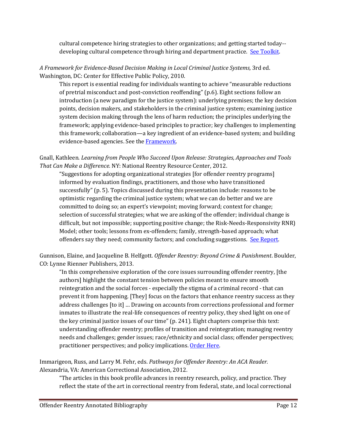cultural competence hiring strategies to other organizations; and getting started today-- developing cultural competence through hiring and department practice. [See Toolkit.](http://nicic.gov/library/025304)

*A Framework for Evidence-Based Decision Making in Local Criminal Justice Systems,* 3rd ed. Washington, DC: Center for Effective Public Policy, 2010.

This report is essential reading for individuals wanting to achieve "measurable reductions of pretrial misconduct and post-conviction reoffending" (p.6). Eight sections follow an introduction (a new paradigm for the justice system): underlying premises; the key decision points, decision makers, and stakeholders in the criminal justice system; examining justice system decision making through the lens of harm reduction; the principles underlying the framework; applying evidence-based principles to practice; key challenges to implementing this framework; collaboration—a key ingredient of an evidence-based system; and building evidence-based agencies. See the **Framework**.

Gnall, Kathleen*. Learning from People Who Succeed Upon Release: Strategies, Approaches and Tools That Can Make a Difference.* NY: National Reentry Resource Center, 2012.

"Suggestions for adopting organizational strategies [for offender reentry programs] informed by evaluation findings, practitioners, and those who have transitioned successfully" (p. 5). Topics discussed during this presentation include: reasons to be optimistic regarding the criminal justice system; what we can do better and we are committed to doing so; an expert's viewpoint; moving forward; context for change; selection of successful strategies; what we are asking of the offender; individual change is difficult, but not impossible; supporting positive change; the Risk-Needs-Responsivity RNR) Model; other tools; lessons from ex-offenders; family, strength-based approach; what offenders say they need; community factors; and concluding suggestions. [See Report.](http://nicic.gov/Library/026515)

Gunnison, Elaine, and Jacqueline B. Helfgott. *Offender Reentry: Beyond Crime & Punishment*. Boulder, CO: Lynne Rienner Publishers, 2013.

"In this comprehensive exploration of the core issues surrounding offender reentry, [the authors] highlight the constant tension between policies meant to ensure smooth reintegration and the social forces - especially the stigma of a criminal record - that can prevent it from happening. [They] focus on the factors that enhance reentry success as they address challenges [to it] … Drawing on accounts from corrections professional and former inmates to illustrate the real-life consequences of reentry policy, they shed light on one of the key criminal justice issues of our time" (p. 241). Eight chapters comprise this text: understanding offender reentry; profiles of transition and reintegration; managing reentry needs and challenges; gender issues; race/ethnicity and social class; offender perspectives; practitioner perspectives; and policy implications. [Order Here.](https://www.rienner.com/title/Offender_Reentry_Beyond_Crime_and_Punishment)

Immarigeon, Russ, and Larry M. Fehr, eds. *Pathways for Offender Reentry: An ACA Reader.*  Alexandria, VA: American Correctional Association, 2012.

"The articles in this book profile advances in reentry research, policy, and practice. They reflect the state of the art in correctional reentry from federal, state, and local correctional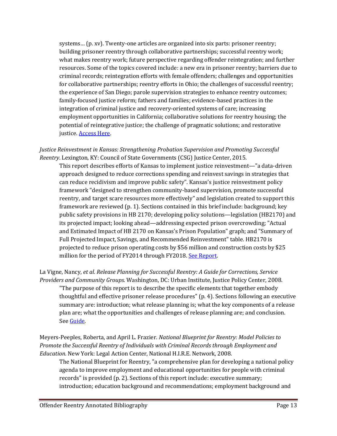systems… (p. xv). Twenty-one articles are organized into six parts: prisoner reentry; building prisoner reentry through collaborative partnerships; successful reentry work; what makes reentry work; future perspective regarding offender reintegration; and further resources. Some of the topics covered include: a new era in prisoner reentry; barriers due to criminal records; reintegration efforts with female offenders; challenges and opportunities for collaborative partnerships; reentry efforts in Ohio; the challenges of successful reentry; the experience of San Diego; parole supervision strategies to enhance reentry outcomes; family-focused justice reform; fathers and families; evidence-based practices in the integration of criminal justice and recovery-oriented systems of care; increasing employment opportunities in California; collaborative solutions for reentry housing; the potential of reintegrative justice; the challenge of pragmatic solutions; and restorative justice. **[Access Here.](http://www.thefreelibrary.com/Pathways+for+Offender+Reentry%3A+An+ACA+Reader.-a0321180661)** 

#### *Justice Reinvestment in Kansas: Strengthening Probation Supervision and Promoting Successful Reentry*. Lexington, KY: Council of State Governments (CSG) Justice Center, 2015.

This report describes efforts of Kansas to implement justice reinvestment—"a data-driven approach designed to reduce corrections spending and reinvest savings in strategies that can reduce recidivism and improve public safety". Kansas's justice reinvestment policy framework "designed to strengthen community-based supervision, promote successful reentry, and target scare resources more effectively" and legislation created to support this framework are reviewed (p. 1). Sections contained in this brief include: background; key public safety provisions in HB 2170; developing policy solutions—legislation (HB2170) and its projected impact; looking ahead—addressing expected prison overcrowding; "Actual and Estimated Impact of HB 2170 on Kansas's Prison Population" graph; and "Summary of Full Projected Impact, Savings, and Recommended Reinvestment" table. HB2170 is projected to reduce prison operating costs by \$56 million and construction costs by \$25 million for the period of FY2014 through FY2018. [See Report.](http://nicic.gov/library/029976)

#### La Vigne, Nancy, *et al. Release Planning for Successful Reentry: A Guide for Corrections, Service Providers and Community Groups.* Washington, DC: Urban Institute, Justice Policy Center, 2008.

"The purpose of this report is to describe the specific elements that together embody thoughtful and effective prisoner release procedures" (p. 4). Sections following an executive summary are: introduction; what release planning is; what the key components of a release plan are; what the opportunities and challenges of release planning are; and conclusion. Se[e Guide.](http://nicic.gov/Library/023334)

Meyers-Peeples, Roberta, and April L. Frazier. *National Blueprint for Reentry: Model Policies to Promote the Successful Reentry of Individuals with Criminal Records through Employment and Education.* New York: Legal Action Center, National H.I.R.E. Network, 2008.

The National Blueprint for Reentry, "a comprehensive plan for developing a national policy agenda to improve employment and educational opportunities for people with criminal records" is provided (p. 2). Sections of this report include: executive summary; introduction; education background and recommendations; employment background and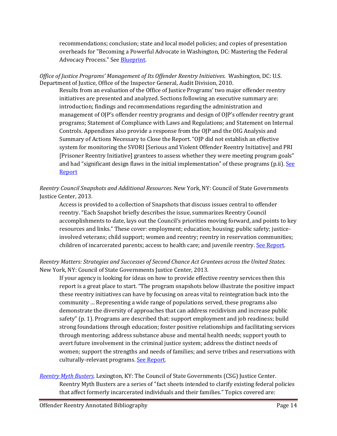recommendations; conclusion; state and local model policies; and copies of presentation overheads for "Becoming a Powerful Advocate in Washington, DC: Mastering the Federal Advocacy Process." See [Blueprint.](http://www.hirenetwork.org/sites/default/files/National_Blueprint_For_Reentry_08.pdf)

*Office of Justice Programs' Management of Its Offender Reentry Initiatives.* Washington, DC: U.S. Department of Justice, Office of the Inspector General, Audit Division, 2010.

Results from an evaluation of the Office of Justice Programs' two major offender reentry initiatives are presented and analyzed. Sections following an executive summary are: introduction; findings and recommendations regarding the administration and management of OJP's offender reentry programs and design of OJP's offender reentry grant programs; Statement of Compliance with Laws and Regulations; and Statement on Internal Controls. Appendixes also provide a response from the OJP and the OIG Analysis and Summary of Actions Necessary to Close the Report. "OJP did not establish an effective system for monitoring the SVORI [Serious and Violent Offender Reentry Initiative] and PRI [Prisoner Reentry Initiative] grantees to assess whether they were meeting program goals" and had "significant design flaws in the initial implementation" of these programs (p.ii). See [Report](http://nicic.gov/Library/024581)

*Reentry Council Snapshots and Additional Resources*. New York, NY: Council of State Governments Justice Center, 2013.

Access is provided to a collection of Snapshots that discuss issues central to offender reentry. "Each Snapshot briefly describes the issue, summarizes Reentry Council accomplishments to date, lays out the Council's priorities moving forward, and points to key resources and links." These cover: employment; education; housing; public safety; justiceinvolved veterans; child support; women and reentry; reentry in reservation communities; children of incarcerated parents; access to health care; and juvenile reentry. [See Report.](http://nicic.gov/library/027517)

#### *Reentry Matters: Strategies and Successes of Second Chance Act Grantees across the United States.*  New York, NY: Council of State Governments Justice Center, 2013.

If your agency is looking for ideas on how to provide effective reentry services then this report is a great place to start. "The program snapshots below illustrate the positive impact these reentry initiatives can have by focusing on areas vital to reintegration back into the community … Representing a wide range of populations served, these programs also demonstrate the diversity of approaches that can address recidivism and increase public safety" (p. 1). Programs are described that: support employment and job readiness; build strong foundations through education; foster positive relationships and facilitating services through mentoring; address substance abuse and mental health needs; support youth to avert future involvement in the criminal justice system; address the distinct needs of women; support the strengths and needs of families; and serve tribes and reservations with culturally-relevant programs. [See Report.](http://nicic.gov/library/027922)

*[Reentry Myth Busters.](http://csgjusticecenter.org/nrrc/projects/mythbusters/)* Lexington, KY: The Council of State Governments (CSG) Justice Center. Reentry Myth Busters are a series of "fact sheets intended to clarify existing federal policies that affect formerly incarcerated individuals and their families." Topics covered are: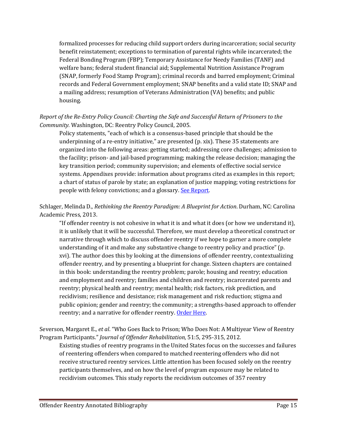formalized processes for reducing child support orders during incarceration; social security benefit reinstatement; exceptions to termination of parental rights while incarcerated; the Federal Bonding Program (FBP); Temporary Assistance for Needy Families (TANF) and welfare bans; federal student financial aid; Supplemental Nutrition Assistance Program (SNAP, formerly Food Stamp Program); criminal records and barred employment; Criminal records and Federal Government employment; SNAP benefits and a valid state ID; SNAP and a mailing address; resumption of Veterans Administration (VA) benefits; and public housing.

#### *Report of the Re-Entry Policy Council: Charting the Safe and Successful Return of Prisoners to the Community.* Washington, DC: Reentry Policy Council, 2005.

Policy statements, "each of which is a consensus-based principle that should be the underpinning of a re-entry initiative," are presented (p. xix). These 35 statements are organized into the following areas: getting started; addressing core challenges; admission to the facility; prison- and jail-based programming; making the release decision; managing the key transition period; community supervision; and elements of effective social service systems. Appendixes provide: information about programs cited as examples in this report; a chart of status of parole by state; an explanation of justice mapping; voting restrictions for people with felony convictions; and a glossary. [See Report.](http://csgjusticecenter.org/wp-content/uploads/2013/03/Report-of-the-Reentry-Council.pdf)

#### Schlager, Melinda D., *Rethinking the Reentry Paradigm: A Blueprint for Action*. Durham, NC: Carolina Academic Press, 2013.

"If offender reentry is not cohesive in what it is and what it does (or how we understand it), it is unlikely that it will be successful. Therefore, we must develop a theoretical construct or narrative through which to discuss offender reentry if we hope to garner a more complete understanding of it and make any substantive change to reentry policy and practice" (p. xvi). The author does this by looking at the dimensions of offender reentry, contextualizing offender reentry, and by presenting a blueprint for change. Sixteen chapters are contained in this book: understanding the reentry problem; parole; housing and reentry; education and employment and reentry; families and children and reentry; incarcerated parents and reentry; physical health and reentry; mental health; risk factors, risk prediction, and recidivism; resilience and desistance; risk management and risk reduction; stigma and public opinion; gender and reentry; the community; a strengths-based approach to offender reentry; and a narrative for offender reentry. [Order Here.](http://www.cap-press.com/books/isbn/9781594609237/Rethinking-the-Reentry-Paradigm)

Severson, Margaret E., *et al*. "Who Goes Back to Prison; Who Does Not: A Multiyear View of Reentry Program Participants." *Journal of Offender Rehabilitation,* 51:5, 295-315, 2012.

Existing studies of reentry programs in the United States focus on the successes and failures of reentering offenders when compared to matched reentering offenders who did not receive structured reentry services. Little attention has been focused solely on the reentry participants themselves, and on how the level of program exposure may be related to recidivism outcomes. This study reports the recidivism outcomes of 357 reentry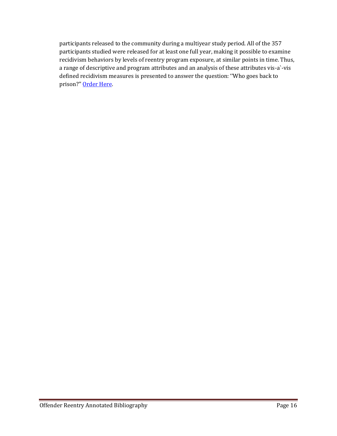participants released to the community during a multiyear study period. All of the 357 participants studied were released for at least one full year, making it possible to examine recidivism behaviors by levels of reentry program exposure, at similar points in time. Thus, a range of descriptive and program attributes and an analysis of these attributes vis-a`-vis defined recidivism measures is presented to answer the question: ''Who goes back to prison?" [Order Here.](http://www.tandfonline.com/doi/abs/10.1080/10509674.2012.677944#.Vdc1vLJVhBc)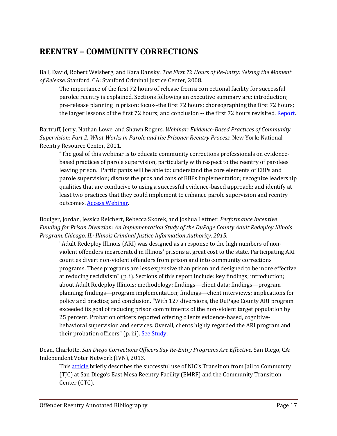# <span id="page-16-0"></span>**REENTRY – COMMUNITY CORRECTIONS**

Ball, David, Robert Weisberg, and Kara Dansky. *The First 72 Hours of Re-Entry: Seizing the Moment of Release*. Stanford, CA: Stanford Criminal Justice Center, 2008.

The importance of the first 72 hours of release from a correctional facility for successful parolee reentry is explained. Sections following an executive summary are: introduction; pre-release planning in prison; focus--the first 72 hours; choreographing the first 72 hours; the larger lessons of the first 72 hours; and conclusion -- the first 72 hours revisited. [Report.](http://nicic.gov/Library/023646)

Bartruff, Jerry, Nathan Lowe, and Shawn Rogers. *Webinar: Evidence-Based Practices of Community Supervision: Part 2, What Works in Parole and the Prisoner Reentry Process.* New York: National Reentry Resource Center, 2011.

"The goal of this webinar is to educate community corrections professionals on evidencebased practices of parole supervision, particularly with respect to the reentry of parolees leaving prison." Participants will be able to: understand the core elements of EBPs and parole supervision; discuss the pros and cons of EBPs implementation; recognize leadership qualities that are conducive to using a successful evidence-based approach; and identify at least two practices that they could implement to enhance parole supervision and reentry outcomes. [Access Webinar.](http://nicic.gov/library/025517) 

Boulger, Jordan, Jessica Reichert, Rebecca Skorek, and Joshua Lettner. *Performance Incentive Funding for Prison Diversion: An Implementation Study of the DuPage County Adult Redeploy Illinois Program. Chicago, IL: Illinois Criminal Justice Information Authority, 2015.*

"Adult Redeploy Illinois (ARI) was designed as a response to the high numbers of nonviolent offenders incarcerated in Illinois' prisons at great cost to the state. Participating ARI counties divert non-violent offenders from prison and into community corrections programs. These programs are less expensive than prison and designed to be more effective at reducing recidivism" (p. i). Sections of this report include: key findings; introduction; about Adult Redeploy Illinois; methodology; findings—client data; findings—program planning; findings—program implementation; findings—client interviews; implications for policy and practice; and conclusion. "With 127 diversions, the DuPage County ARI program exceeded its goal of reducing prison commitments of the non-violent target population by 25 percent. Probation officers reported offering clients evidence-based, cognitivebehavioral supervision and services. Overall, clients highly regarded the ARI program and their probation officers" (p. iii). [See Study.](http://nicic.gov/library/029784)

Dean, Charlotte. *San Diego Corrections Officers Say Re-Entry Programs Are Effective.* San Diego, CA: Independent Voter Network (IVN), 2013.

This **article** briefly describes the successful use of NIC's Transition from Jail to Community (TJC) at San Diego's East Mesa Reentry Facility (EMRF) and the Community Transition Center (CTC).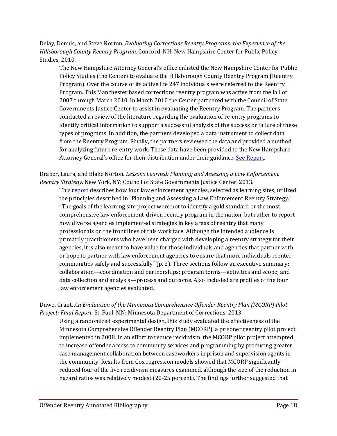Delay, Dennis, and Steve Norton. *Evaluating Corrections Reentry Programs: the Experience of the Hillsborough County Reentry Program.* Concord, NH: New Hampshire Center for Public Policy Studies, 2010.

The New Hampshire Attorney General's office enlisted the New Hampshire Center for Public Policy Studies (the Center) to evaluate the Hillsborough County Reentry Program (Reentry Program). Over the course of its active life 247 individuals were referred to the Reentry Program. This Manchester based corrections reentry program was active from the fall of 2007 through March 2010. In March 2010 the Center partnered with the Council of State Governments Justice Center to assist in evaluating the Reentry Program. The partners conducted a review of the literature regarding the evaluation of re-entry programs to identify critical information to support a successful analysis of the success or failure of these types of programs. In addition, the partners developed a data instrument to collect data from the Reentry Program. Finally, the partners reviewed the data and provided a method for analyzing future re-entry work. These data have been provided to the New Hampshire Attorney General's office for their distribution under their guidance. [See Report.](http://www.nhpolicy.org/UploadedFiles/Reports/reentryevalplusapp.pdf)

Draper, Laura, and Blake Norton. *Lessons Learned: Planning and Assessing a Law Enforcement Reentry Strategy*. New York, NY: Council of State Governments Justice Center, 2013.

This [report](http://nicic.gov/library/027165) describes how four law enforcement agencies, selected as learning sites, utilized the principles described in "Planning and Assessing a Law Enforcement Reentry Strategy." "The goals of the learning site project were not to identify a gold standard or the most comprehensive law enforcement-driven reentry program in the nation, but rather to report how diverse agencies implemented strategies in key areas of reentry that many professionals on the front lines of this work face. Although the intended audience is primarily practitioners who have been charged with developing a reentry strategy for their agencies, it is also meant to have value for those individuals and agencies that partner with or hope to partner with law enforcement agencies to ensure that more individuals reenter communities safely and successfully" (p. 3). Three sections follow an executive summary: collaboration—coordination and partnerships; program terms—activities and scope; and data collection and analysis—process and outcome. Also included are profiles of the four law enforcement agencies evaluated.

Duwe, Grant. *An Evaluation of the Minnesota Comprehensive Offender Reentry Plan (MCORP) Pilot Project: Final Report.* St. Paul, MN: Minnesota Department of Corrections, 2013.

Using a randomized experimental design, this study evaluated the effectiveness of the Minnesota Comprehensive Offender Reentry Plan (MCORP), a prisoner reentry pilot project implemented in 2008. In an effort to reduce recidivism, the MCORP pilot project attempted to increase offender access to community services and programming by producing greater case management collaboration between caseworkers in prison and supervision agents in the community. Results from Cox regression models showed that MCORP significantly reduced four of the five recidivism measures examined, although the size of the reduction in hazard ratios was relatively modest (20-25 percent). The findings further suggested that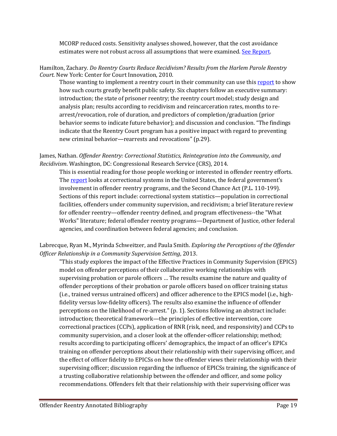MCORP reduced costs. Sensitivity analyses showed, however, that the cost avoidance estimates were not robust across all assumptions that were examined. [See Report.](http://www.doc.state.mn.us/pages/files/8913/8142/3580/MCORP_Evaluation_Final_DOC_Website.pdf)

Hamilton, Zachary. *Do Reentry Courts Reduce Recidivism? Results from the Harlem Parole Reentry Court.* New York: Center for Court Innovation, 2010.

Those wanting to implement a reentry court in their community can use this [report](http://nicic.gov/Library/024350) to show how such courts greatly benefit public safety. Six chapters follow an executive summary: introduction; the state of prisoner reentry; the reentry court model; study design and analysis plan; results according to recidivism and reincarceration rates, months to rearrest/revocation, role of duration, and predictors of completion/graduation (prior behavior seems to indicate future behavior); and discussion and conclusion. "The findings indicate that the Reentry Court program has a positive impact with regard to preventing new criminal behavior—rearrests and revocations" (p.29).

#### James, Nathan. *Offender Reentry: Correctional Statistics, Reintegration into the Community, and Recidivism*. Washington, DC: Congressional Research Service (CRS), 2014.

This is essential reading for those people working or interested in offender reentry efforts. Th[e report](http://nicic.gov/library/029643) looks at correctional systems in the United States, the federal government's involvement in offender reentry programs, and the Second Chance Act (P.L. 110-199). Sections of this report include: correctional system statistics—population in correctional facilities, offenders under community supervision, and recidivism; a brief literature review for offender reentry—offender reentry defined, and program effectiveness--the "What Works" literature; federal offender reentry programs—Department of Justice, other federal agencies, and coordination between federal agencies; and conclusion.

Labrecque, Ryan M., Myrinda Schweitzer, and Paula Smith. *Exploring the Perceptions of the Offender Officer Relationship in a Community Supervision Setting*, 2013.

"This study explores the impact of the Effective Practices in Community Supervision (EPICS) model on offender perceptions of their collaborative working relationships with supervising probation or parole officers … The results examine the nature and quality of offender perceptions of their probation or parole officers based on officer training status (i.e., trained versus untrained officers) and officer adherence to the EPICS model (i.e., highfidelity versus low-fidelity officers). The results also examine the influence of offender perceptions on the likelihood of re-arrest." (p. 1). Sections following an abstract include: introduction; theoretical framework—the principles of effective intervention, core correctional practices (CCPs), application of RNR (risk, need, and responsivity) and CCPs to community supervision, and a closer look at the offender-officer relationship; method; results according to participating officers' demographics, the impact of an officer's EPICs training on offender perceptions about their relationship with their supervising officer, and the effect of officer fidelity to EPICSs on how the offender views their relationship with their supervising officer; discussion regarding the influence of EPICSs training, the significance of a trusting collaborative relationship between the offender and officer, and some policy recommendations. Offenders felt that their relationship with their supervising officer was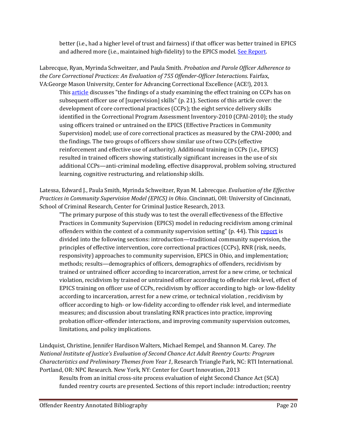better (i.e., had a higher level of trust and fairness) if that officer was better trained in EPICS and adhered more (i.e., maintained high-fidelity) to the EPICS model. See Report.

Labrecque, Ryan, Myrinda Schweitzer, and Paula Smith. *Probation and Parole Officer Adherence to the Core Correctional Practices: An Evaluation of 755 Offender-Officer Interactions*. Fairfax, VA:George Mason University, Center for Advancing Correctional Excellence (ACE!), 2013.

This [article](http://www.gmuace.org/newsletters/AP%20April%202013%20Final2%20Electronic.pdf) discusses "the findings of a study examining the effect training on CCPs has on subsequent officer use of [supervision] skills" (p. 21). Sections of this article cover: the development of core correctional practices (CCPs); the eight service delivery skills identified in the Correctional Program Assessment Inventory-2010 (CPAI-2010); the study using officers trained or untrained on the EPICS (Effective Practices in Community Supervision) model; use of core correctional practices as measured by the CPAI-2000; and the findings. The two groups of officers show similar use of two CCPs (effective reinforcement and effective use of authority). Additional training in CCPs (i.e., EPICS) resulted in trained officers showing statistically significant increases in the use of six additional CCPs—anti-criminal modeling, effective disapproval, problem solving, structured learning, cognitive restructuring, and relationship skills.

Latessa, Edward J., Paula Smith, Myrinda Schweitzer, Ryan M. Labrecque. *Evaluation of the Effective Practices in Community Supervision Model (EPICS) in Ohio*. Cincinnati, OH: University of Cincinnati, School of Criminal Research, Center for Criminal Justice Research, 2013.

"The primary purpose of this study was to test the overall effectiveness of the Effective Practices in Community Supervision (EPICS) model in reducing recidivism among criminal offenders within the context of a community supervision setting" (p. 44). This [report](http://www.uc.edu/content/dam/uc/ccjr/docs/reports/Final%20OCJS%20Report%202.22.13.pdf) is divided into the following sections: introduction—traditional community supervision, the principles of effective intervention, core correctional practices (CCPs), RNR (risk, needs, responsivity) approaches to community supervision, EPICS in Ohio, and implementation; methods; results—demographics of officers, demographics of offenders, recidivism by trained or untrained officer according to incarceration, arrest for a new crime, or technical violation, recidivism by trained or untrained officer according to offender risk level, effect of EPICS training on officer use of CCPs, recidivism by officer according to high- or low-fidelity according to incarceration, arrest for a new crime, or technical violation , recidivism by officer according to high- or low-fidelity according to offender risk level, and intermediate measures; and discussion about translating RNR practices into practice, improving probation officer-offender interactions, and improving community supervision outcomes, limitations, and policy implications.

Lindquist, Christine, Jennifer Hardison Walters, Michael Rempel, and Shannon M. Carey. *The National Institute of Justice's Evaluation of Second Chance Act Adult Reentry Courts: Program Characteristics and Preliminary Themes from Year 1*, Research Triangle Park, NC: RTI International. Portland, OR: NPC Research. New York, NY: Center for Court Innovation, 2013

Results from an initial cross-site process evaluation of eight Second Chance Act (SCA) funded reentry courts are presented. Sections of this report include: introduction; reentry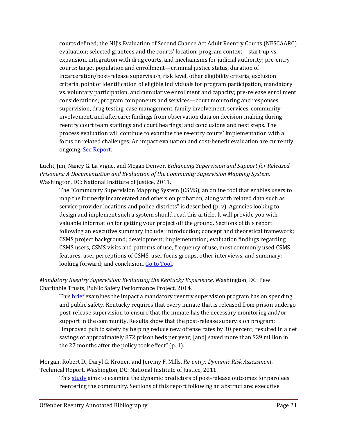courts defined; the NIJ's Evaluation of Second Chance Act Adult Reentry Courts (NESCAARC) evaluation; selected grantees and the courts' location; program context—start-up vs. expansion, integration with drug courts, and mechanisms for judicial authority; pre-entry courts; target population and enrollment—criminal justice status, duration of incarceration/post-release supervision, risk level, other eligibility criteria, exclusion criteria, point of identification of eligible individuals for program participation, mandatory vs. voluntary participation, and cumulative enrollment and capacity; pre-release enrollment considerations; program components and services—court monitoring and responses, supervision, drug testing, case management, family involvement, services, community involvement, and aftercare; findings from observation data on decision-making during reentry court team staffings and court hearings; and conclusions and next steps. The process evaluation will continue to examine the re-entry courts' implementation with a focus on related challenges. An impact evaluation and cost-benefit evaluation are currently ongoing. [See Report.](http://nicic.gov/library/027094) 

#### Lucht, Jim, Nancy G. La Vigne, and Megan Denver. *Enhancing Supervision and Support for Released Prisoners: A Documentation and Evaluation of the Community Supervision Mapping System.* Washington, DC: National Institute of Justice, 2011.

The "Community Supervision Mapping System (CSMS), an online tool that enables users to map the formerly incarcerated and others on probation, along with related data such as service provider locations and police districts" is described (p. v). Agencies looking to design and implement such a system should read this article. It will provide you with valuable information for getting your project off the ground. Sections of this report following an executive summary include: introduction; concept and theoretical framework; CSMS project background; development; implementation; evaluation findings regarding CSMS users, CSMS visits and patterns of use, frequency of use, most commonly used CSMS features, user perceptions of CSMS, user focus groups, other interviews, and summary; looking forward; and conclusion. Go to Tool.

#### *Mandatory Reentry Supervision: Evaluating the Kentucky Experience*. Washington, DC: Pew Charitable Trusts, Public Safety Performance Project, 2014.

This **brief** examines the impact a mandatory reentry supervision program has on spending and public safety. Kentucky requires that every inmate that is released from prison undergo post-release supervision to ensure that the inmate has the necessary monitoring and/or support in the community. Results show that the post-release supervision program: "improved public safety by helping reduce new offense rates by 30 percent; resulted in a net savings of approximately 872 prison beds per year; [and] saved more than \$29 million in the 27 months after the policy took effect" (p. 1).

Morgan, Robert D., Daryl G. Kroner, and Jeremy F. Mills. *Re-entry: Dynamic Risk Assessment.*  Technical Report. Washington, DC: National Institute of Justice, 2011.

This [study](http://nicic.gov/Library/026040) aims to examine the dynamic predictors of post-release outcomes for parolees reentering the community. Sections of this report following an abstract are: executive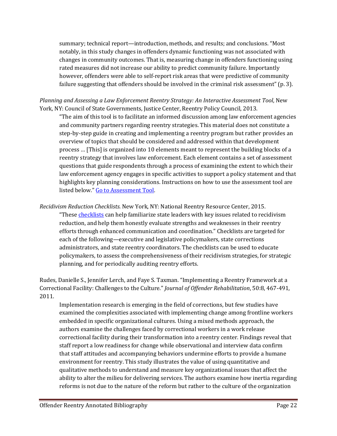summary; technical report—introduction, methods, and results; and conclusions. "Most notably, in this study changes in offenders dynamic functioning was not associated with changes in community outcomes. That is, measuring change in offenders functioning using rated measures did not increase our ability to predict community failure. Importantly however, offenders were able to self-report risk areas that were predictive of community failure suggesting that offenders should be involved in the criminal risk assessment" (p. 3).

*Planning and Assessing a Law Enforcement Reentry Strategy: An Interactive Assessment Tool*, New York, NY: Council of State Governments, Justice Center, Reentry Policy Council, 2013.

"The aim of this tool is to facilitate an informed discussion among law enforcement agencies and community partners regarding reentry strategies. This material does not constitute a step-by-step guide in creating and implementing a reentry program but rather provides an overview of topics that should be considered and addressed within that development process … [This] is organized into 10 elements meant to represent the building blocks of a reentry strategy that involves law enforcement. Each element contains a set of assessment questions that guide respondents through a process of examining the extent to which their law enforcement agency engages in specific activities to support a policy statement and that highlights key planning considerations. Instructions on how to use the assessment tool are listed below." [Go to Assessment Tool.](http://nicic.gov/library/027164.)

*Recidivism Reduction Checklists.* New York, NY: National Reentry Resource Center, 2015.

"These *checklists* can help familiarize state leaders with key issues related to recidivism reduction, and help them honestly evaluate strengths and weaknesses in their reentry efforts through enhanced communication and coordination." Checklists are targeted for each of the following—executive and legislative policymakers, state corrections administrators, and state reentry coordinators. The checklists can be used to educate policymakers, to assess the comprehensiveness of their recidivism strategies, for strategic planning, and for periodically auditing reentry efforts.

Rudes, Danielle S., Jennifer Lerch, and Faye S. Taxman. "Implementing a Reentry Framework at a Correctional Facility: Challenges to the Culture." *Journal of Offender Rehabilitation*, 50:8, 467-491, 2011.

Implementation research is emerging in the field of corrections, but few studies have examined the complexities associated with implementing change among frontline workers embedded in specific organizational cultures. Using a mixed methods approach, the authors examine the challenges faced by correctional workers in a work release correctional facility during their transformation into a reentry center. Findings reveal that staff report a low readiness for change while observational and interview data confirm that staff attitudes and accompanying behaviors undermine efforts to provide a humane environment for reentry. This study illustrates the value of using quantitative and qualitative methods to understand and measure key organizational issues that affect the ability to alter the milieu for delivering services. The authors examine how inertia regarding reforms is not due to the nature of the reform but rather to the culture of the organization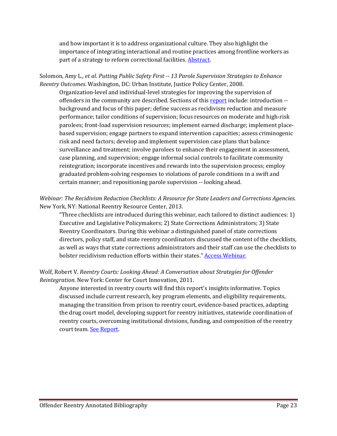and how important it is to address organizational culture. They also highlight the importance of integrating interactional and routine practices among frontline workers as part of a strategy to reform correctional facilities. [Abstract.](http://dx.doi.org/10.1080/10509674.2011.624392)

Solomon, Amy L*., et al*. *Putting Public Safety First -- 13 Parole Supervision Strategies to Enhance Reentry Outcomes.* Washington, DC: Urban Institute, Justice Policy Center, 2008.

Organization-level and individual-level strategies for improving the supervision of offenders in the community are described. Sections of this [report](http://nicic.gov/Library/023433) include: introduction -background and focus of this paper; define success as recidivism reduction and measure performance; tailor conditions of supervision; focus resources on moderate and high-risk parolees; front-load supervision resources; implement earned discharge; implement placebased supervision; engage partners to expand intervention capacities; assess criminogenic risk and need factors; develop and implement supervision case plans that balance surveillance and treatment; involve parolees to enhance their engagement in assessment, case planning, and supervision; engage informal social controls to facilitate community reintegration; incorporate incentives and rewards into the supervision process; employ graduated problem-solving responses to violations of parole conditions in a swift and certain manner; and repositioning parole supervision -- looking ahead.

#### *Webinar: The Recidivism Reduction Checklists: A Resource for State Leaders and Corrections Agencies*. New York, NY: National Reentry Resource Center, 2013.

"Three checklists are introduced during this webinar, each tailored to distinct audiences: 1) Executive and Legislative Policymakers; 2) State Corrections Administrators; 3) State Reentry Coordinators. During this webinar a distinguished panel of state corrections directors, policy staff, and state reentry coordinators discussed the content of the checklists, as well as ways that state corrections administrators and their staff can use the checklists to bolster recidivism reduction efforts within their states." [Access Webinar.](http://nicic.gov/library/027089)

#### Wolf, Robert V. *Reentry Courts: Looking Ahead: A Conversation about Strategies for Offender Reintegration*. New York: Center for Court Innovation, 2011.

Anyone interested in reentry courts will find this report's insights informative. Topics discussed include current research, key program elements, and eligibility requirements, managing the transition from prison to reentry court, evidence-based practices, adapting the drug court model, developing support for reentry initiatives, statewide coordination of reentry courts, overcoming institutional divisions, funding, and composition of the reentry court team[. See Report.](http://nicic.gov/Library/025081)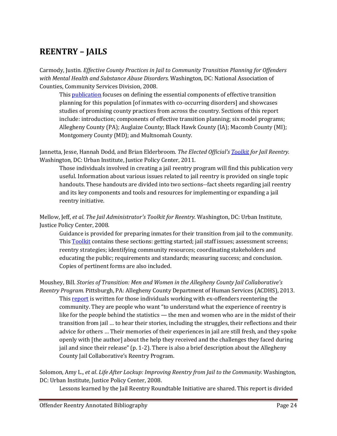# <span id="page-23-0"></span>**REENTRY – JAILS**

Carmody, Justin. *Effective County Practices in Jail to Community Transition Planning for Offenders with Mental Health and Substance Abuse Disorders.* Washington, DC: National Association of Counties, Community Services Division, 2008.

This [publication](http://nicic.gov/Library/023440) focuses on defining the essential components of effective transition planning for this population [of inmates with co-occurring disorders] and showcases studies of promising county practices from across the country. Sections of this report include: introduction; components of effective transition planning; six model programs; Allegheny County (PA); Auglaize County; Black Hawk County (IA); Macomb County (MI); Montgomery County (MD); and Multnomah County.

Jannetta, Jesse, Hannah Dodd, and Brian Elderbroom. *The Elected Official's [Toolkit](http://nicic.gov/Library/024845) for Jail Reentry.* Washington, DC: Urban Institute, Justice Policy Center, 2011.

Those individuals involved in creating a jail reentry program will find this publication very useful. Information about various issues related to jail reentry is provided on single topic handouts. These handouts are divided into two sections--fact sheets regarding jail reentry and its key components and tools and resources for implementing or expanding a jail reentry initiative.

Mellow, Jeff, *et al*. *The Jail Administrator's Toolkit for Reentry.* Washington, DC: Urban Institute, Justice Policy Center, 2008.

Guidance is provided for preparing inmates for their transition from jail to the community. This [Toolkit](http://nicic.gov/Library/023068) contains these sections: getting started; jail staff issues; assessment screens; reentry strategies; identifying community resources; coordinating stakeholders and educating the public; requirements and standards; measuring success; and conclusion. Copies of pertinent forms are also included.

Moushey, Bill. *Stories of Transition: Men and Women in the Allegheny County Jail Collaborative's Reentry Program.* Pittsburgh, PA: Allegheny County Department of Human Services (ACDHS), 2013. This [report](http://nicic.gov/library/027915) is written for those individuals working with ex-offenders reentering the community. They are people who want "to understand what the experience of reentry is like for the people behind the statistics — the men and women who are in the midst of their transition from jail … to hear their stories, including the struggles, their reflections and their advice for others … Their memories of their experiences in jail are still fresh, and they spoke openly with [the author] about the help they received and the challenges they faced during jail and since their release" (p. 1-2). There is also a brief description about the Allegheny County Jail Collaborative's Reentry Program.

Solomon, Amy L., *et al*. *Life After Lockup: Improving Reentry from Jail to the Community.* Washington, DC: Urban Institute, Justice Policy Center, 2008.

Lessons learned by the Jail Reentry Roundtable Initiative are shared. This report is divided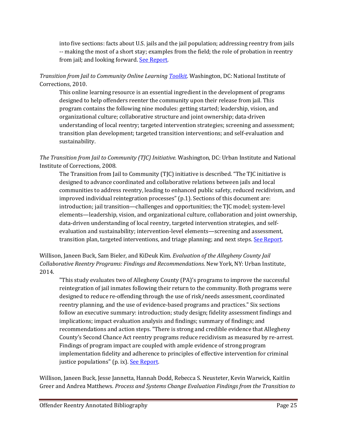into five sections: facts about U.S. jails and the jail population; addressing reentry from jails -- making the most of a short stay; examples from the field; the role of probation in reentry from jail; and looking forward. See Report.

*Transition from Jail to Community Online Learning [Toolkit.](http://nicic.gov/Library/024369)* Washington, DC: National Institute of Corrections, 2010.

This online learning resource is an essential ingredient in the development of programs designed to help offenders reenter the community upon their release from jail. This program contains the following nine modules: getting started; leadership, vision, and organizational culture; collaborative structure and joint ownership; data-driven understanding of local reentry; targeted intervention strategies; screening and assessment; transition plan development; targeted transition interventions; and self-evaluation and sustainability.

*The Transition from Jail to Community (TJC) Initiative.* Washington, DC: Urban Institute and National Institute of Corrections, 2008.

The Transition from Jail to Community (TJC) initiative is described. "The TJC initiative is designed to advance coordinated and collaborative relations between jails and local communities to address reentry, leading to enhanced public safety, reduced recidivism, and improved individual reintegration processes" (p.1). Sections of this document are: introduction; jail transition—challenges and opportunities; the TJC model; system-level elements—leadership, vision, and organizational culture, collaboration and joint ownership, data-driven understanding of local reentry, targeted intervention strategies, and selfevaluation and sustainability; intervention-level elements—screening and assessment, transition plan, targeted interventions, and triage planning; and next steps. [See Report.](http://nicic.gov/library/023331)

Willison, Janeen Buck, Sam Bieler, and KiDeuk Kim. *Evaluation of the Allegheny County Jail Collaborative Reentry Programs: Findings and Recommendations.* New York, NY: Urban Institute, 2014.

"This study evaluates two of Allegheny County (PA)'s programs to improve the successful reintegration of jail inmates following their return to the community. Both programs were designed to reduce re-offending through the use of risk/needs assessment, coordinated reentry planning, and the use of evidence-based programs and practices." Six sections follow an executive summary: introduction; study design; fidelity assessment findings and implications; impact evaluation analysis and findings; summary of findings; and recommendations and action steps. "There is strong and credible evidence that Allegheny County's Second Chance Act reentry programs reduce recidivism as measured by re-arrest. Findings of program impact are coupled with ample evidence of strong program implementation fidelity and adherence to principles of effective intervention for criminal justice populations" (p. ix). [See Report.](http://nicic.gov/library/029518)

Willison, Janeen Buck, Jesse Jannetta, Hannah Dodd, Rebecca S. Neusteter, Kevin Warwick, Kaitlin Greer and Andrea Matthews. *Process and Systems Change Evaluation Findings from the Transition to*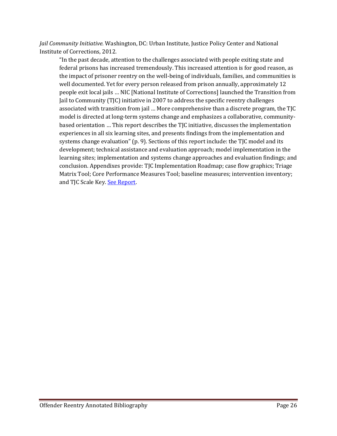*Jail Community Initiative.* Washington, DC: Urban Institute, Justice Policy Center and National Institute of Corrections, 2012.

"In the past decade, attention to the challenges associated with people exiting state and federal prisons has increased tremendously. This increased attention is for good reason, as the impact of prisoner reentry on the well-being of individuals, families, and communities is well documented. Yet for every person released from prison annually, approximately 12 people exit local jails … NIC [National Institute of Corrections] launched the Transition from Jail to Community (TJC) initiative in 2007 to address the specific reentry challenges associated with transition from jail … More comprehensive than a discrete program, the TJC model is directed at long-term systems change and emphasizes a collaborative, communitybased orientation … This report describes the TJC initiative, discusses the implementation experiences in all six learning sites, and presents findings from the implementation and systems change evaluation" (p. 9). Sections of this report include: the TJC model and its development; technical assistance and evaluation approach; model implementation in the learning sites; implementation and systems change approaches and evaluation findings; and conclusion. Appendixes provide: TJC Implementation Roadmap; case flow graphics; Triage Matrix Tool; Core Performance Measures Tool; baseline measures; intervention inventory; and TJC Scale Key. [See Report.](http://nicic.gov/library/026925)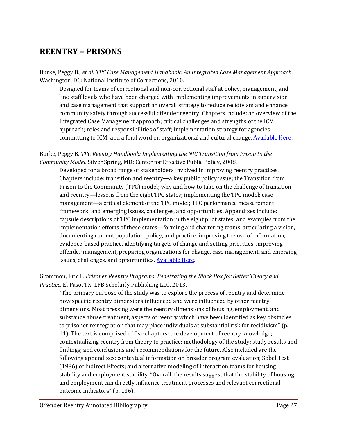# <span id="page-26-0"></span>**REENTRY – PRISONS**

Burke, Peggy B., *et al. TPC Case Management Handbook: An Integrated Case Management Approach.*  Washington, DC: National Institute of Corrections, 2010.

Designed for teams of correctional and non-correctional staff at policy, management, and line staff levels who have been charged with implementing improvements in supervision and case management that support an overall strategy to reduce recidivism and enhance community safety through successful offender reentry. Chapters include: an overview of the Integrated Case Management approach; critical challenges and strengths of the ICM approach; roles and responsibilities of staff; implementation strategy for agencies committing to ICM; and a final word on organizational and cultural change. Available Here.

#### Burke, Peggy B. *TPC Reentry Handbook: Implementing the NIC Transition from Prison to the Community Model.* Silver Spring, MD: Center for Effective Public Policy, 2008.

Developed for a broad range of stakeholders involved in improving reentry practices. Chapters include: transition and reentry—a key public policy issue; the Transition from Prison to the Community (TPC) model; why and how to take on the challenge of transition and reentry—lessons from the eight TPC states; implementing the TPC model; case management—a critical element of the TPC model; TPC performance measurement framework; and emerging issues, challenges, and opportunities. Appendixes include: capsule descriptions of TPC implementation in the eight pilot states; and examples from the implementation efforts of these states—forming and chartering teams, articulating a vision, documenting current population, policy, and practice, improving the use of information, evidence-based practice, identifying targets of change and setting priorities, improving offender management, preparing organizations for change, case management, and emerging issues, challenges, and opportunities. [Available Here.](http://nicic.gov/Library/022669)

#### Grommon, Eric L. *Prisoner Reentry Programs: Penetrating the Black Box for Better Theory and Practice*. El Paso, TX: LFB Scholarly Publishing LLC, 2013.

"The primary purpose of the study was to explore the process of reentry and determine how specific reentry dimensions influenced and were influenced by other reentry dimensions. Most pressing were the reentry dimensions of housing, employment, and substance abuse treatment, aspects of reentry which have been identified as key obstacles to prisoner reintegration that may place individuals at substantial risk for recidivism" (p. 11). The text is comprised of five chapters: the development of reentry knowledge; contextualizing reentry from theory to practice; methodology of the study; study results and findings; and conclusions and recommendations for the future. Also included are the following appendixes: contextual information on broader program evaluation; Sobel Test (1986) of Indirect Effects; and alternative modeling of interaction teams for housing stability and employment stability. "Overall, the results suggest that the stability of housing and employment can directly influence treatment processes and relevant correctional outcome indicators" (p. 136).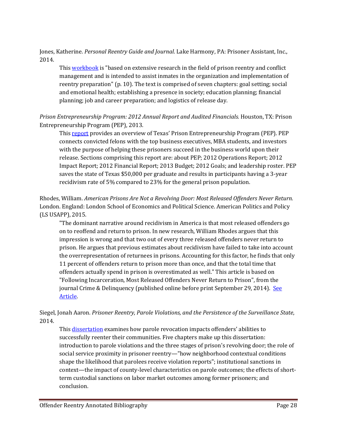Jones, Katherine. *Personal Reentry Guide and Journal*. Lake Harmony, PA: Prisoner Assistant, Inc., 2014.

This [workbook](http://www.lifetimelibertygroup.org/reentry-booklet/) is "based on extensive research in the field of prison reentry and conflict management and is intended to assist inmates in the organization and implementation of reentry preparation" (p. 10). The text is comprised of seven chapters: goal setting; social and emotional health; establishing a presence in society; education planning; financial planning; job and career preparation; and logistics of release day.

*Prison Entrepreneurship Program: 2012 Annual Report and Audited Financials.* Houston, TX: Prison Entrepreneurship Program (PEP), 2013.

This [report](http://nicic.gov/library/027381) provides an overview of Texas' Prison Entrepreneurship Program (PEP). PEP connects convicted felons with the top business executives, MBA students, and investors with the purpose of helping these prisoners succeed in the business world upon their release. Sections comprising this report are: about PEP; 2012 Operations Report; 2012 Impact Report; 2012 Financial Report; 2013 Budget; 2012 Goals; and leadership roster. PEP saves the state of Texas \$50,000 per graduate and results in participants having a 3-year recidivism rate of 5% compared to 23% for the general prison population.

Rhodes, William. *American Prisons Are Not a Revolving Door: Most Released Offenders Never Return.* London. England: London School of Economics and Political Science. American Politics and Policy (LS USAPP), 2015.

"The dominant narrative around recidivism in America is that most released offenders go on to reoffend and return to prison. In new research, William Rhodes argues that this impression is wrong and that two out of every three released offenders never return to prison. He argues that previous estimates about recidivism have failed to take into account the overrepresentation of returnees in prisons. Accounting for this factor, he finds that only 11 percent of offenders return to prison more than once, and that the total time that offenders actually spend in prison is overestimated as well." This article is based on "Following Incarceration, Most Released Offenders Never Return to Prison", from the journal Crime & Delinquency (published online before print September 29, 2014). [See](http://nicic.gov/library/029987)  [Article.](http://nicic.gov/library/029987) 

Siegel, Jonah Aaron. *Prisoner Reentry, Parole Violations, and the Persistence of the Surveillance State*, 2014.

This [dissertation](http://nicic.gov/library/029621) examines how parole revocation impacts offenders' abilities to successfully reenter their communities. Five chapters make up this dissertation: introduction to parole violations and the three stages of prison's revolving door; the role of social service proximity in prisoner reentry—"how neighborhood contextual conditions shape the likelihood that parolees receive violation reports"; institutional sanctions in context—the impact of county-level characteristics on parole outcomes; the effects of shortterm custodial sanctions on labor market outcomes among former prisoners; and conclusion.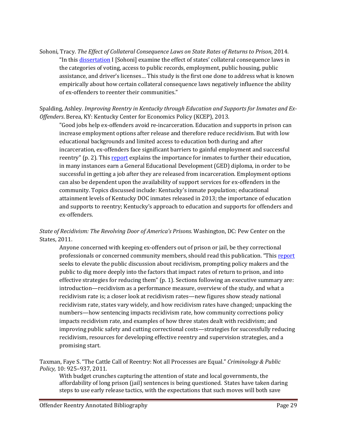Sohoni, Tracy. *The Effect of Collateral Consequence Laws on State Rates of Returns to Prison*, 2014. "In this [dissertation](http://nicic.gov/library/028477) I [Sohoni] examine the effect of states' collateral consequence laws in the categories of voting, access to public records, employment, public housing, public assistance, and driver's licenses… This study is the first one done to address what is known empirically about how certain collateral consequence laws negatively influence the ability of ex-offenders to reenter their communities."

#### Spalding, Ashley. *Improving Reentry in Kentucky through Education and Supports for Inmates and Ex-Offenders*. Berea, KY: Kentucky Center for Economics Policy (KCEP), 2013.

"Good jobs help ex-offenders avoid re-incarceration. Education and supports in prison can increase employment options after release and therefore reduce recidivism. But with low educational backgrounds and limited access to education both during and after incarceration, ex-offenders face significant barriers to gainful employment and successful reentry" (p. 2). Thi[s report](http://kypolicy.org/dash/wp-content/uploads/2013/08/Improving-Reentry-in-Kentucky-Report.pdf) explains the importance for inmates to further their education, in many instances earn a General Educational Development (GED) diploma, in order to be successful in getting a job after they are released from incarceration. Employment options can also be dependent upon the availability of support services for ex-offenders in the community. Topics discussed include: Kentucky's inmate population; educational attainment levels of Kentucky DOC inmates released in 2013; the importance of education and supports to reentry; Kentucky's approach to education and supports for offenders and ex-offenders.

#### *State of Recidivism: The Revolving Door of America's Prisons.* Washington, DC: Pew Center on the States, 2011.

Anyone concerned with keeping ex-offenders out of prison or jail, be they correctional professionals or concerned community members, should read this publication. "This [report](http://nicic.gov/Library/024981) seeks to elevate the public discussion about recidivism, prompting policy makers and the public to dig more deeply into the factors that impact rates of return to prison, and into effective strategies for reducing them" (p. 1). Sections following an executive summary are: introduction—recidivism as a performance measure, overview of the study, and what a recidivism rate is; a closer look at recidivism rates—new figures show steady national recidivism rate, states vary widely, and how recidivism rates have changed; unpacking the numbers—how sentencing impacts recidivism rate, how community corrections policy impacts recidivism rate, and examples of how three states dealt with recidivism; and improving public safety and cutting correctional costs—strategies for successfully reducing recidivism, resources for developing effective reentry and supervision strategies, and a promising start.

Taxman, Faye S. "The Cattle Call of Reentry: Not all Processes are Equal." *Criminology & Public Policy,* 10: 925–937, 2011.

With budget crunches capturing the attention of state and local governments, the affordability of long prison (jail) sentences is being questioned. States have taken daring steps to use early release tactics, with the expectations that such moves will both save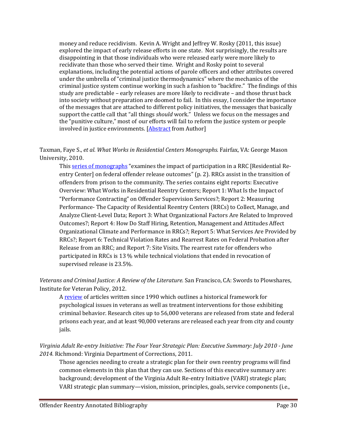money and reduce recidivism. Kevin A. Wright and Jeffrey W. Rosky (2011, this issue) explored the impact of early release efforts in one state. Not surprisingly, the results are disappointing in that those individuals who were released early were more likely to recidivate than those who served their time. Wright and Rosky point to several explanations, including the potential actions of parole officers and other attributes covered under the umbrella of "criminal justice thermodynamics" where the mechanics of the criminal justice system continue working in such a fashion to "backfire." The findings of this study are predictable – early releases are more likely to recidivate – and those thrust back into society without preparation are doomed to fail. In this essay, I consider the importance of the messages that are attached to different policy initiatives, the messages that basically support the cattle call that "all things *should* work." Unless we focus on the messages and the "punitive culture," most of our efforts will fail to reform the justice system or people involved in justice environments. [\[Abstract](http://onlinelibrary.wiley.com/doi/10.1111/j.1745-9133.2011.00780.x/abstract) from Author]

Taxman, Faye S., *et al. What Works in Residential Centers Monographs.* Fairfax, VA: George Mason University, 2010.

Thi[s series of monographs](http://nicic.gov/Library/025266) "examines the impact of participation in a RRC [Residential Reentry Center] on federal offender release outcomes" (p. 2). RRCs assist in the transition of offenders from prison to the community. The series contains eight reports: Executive Overview: What Works in Residential Reentry Centers; Report 1: What Is the Impact of "Performance Contracting" on Offender Supervision Services?; Report 2: Measuring Performance- The Capacity of Residential Reentry Centers (RRCs) to Collect, Manage, and Analyze Client-Level Data; Report 3: What Organizational Factors Are Related to Improved Outcomes?; Report 4: How Do Staff Hiring, Retention, Management and Attitudes Affect Organizational Climate and Performance in RRCs?; Report 5: What Services Are Provided by RRCs?; Report 6: Technical Violation Rates and Rearrest Rates on Federal Probation after Release from an RRC; and Report 7: Site Visits. The rearrest rate for offenders who participated in RRCs is 13 % while technical violations that ended in revocation of supervised release is 23.5%.

*Veterans and Criminal Justice: A Review of the Literature.* San Francisco, CA: Swords to Plowshares, Institute for Veteran Policy, 2012.

A [review](http://www.swords-to-plowshares.org/wp-content/uploads/Veterans-and-Criminal-Justice-A-Review-of-the-Literature-2012.pdf) of articles written since 1990 which outlines a historical framework for psychological issues in veterans as well as treatment interventions for those exhibiting criminal behavior. Research cites up to 56,000 veterans are released from state and federal prisons each year, and at least 90,000 veterans are released each year from city and county jails.

*Virginia Adult Re-entry Initiative: The Four Year Strategic Plan: Executive Summary: July 2010 - June 2014.* Richmond: Virginia Department of Corrections, 2011.

Those agencies needing to create a strategic plan for their own reentry programs will find common elements in this plan that they can use. Sections of this executive summary are: background; development of the Virginia Adult Re-entry Initiative (VARI) strategic plan; VARI strategic plan summary—vision, mission, principles, goals, service components (i.e.,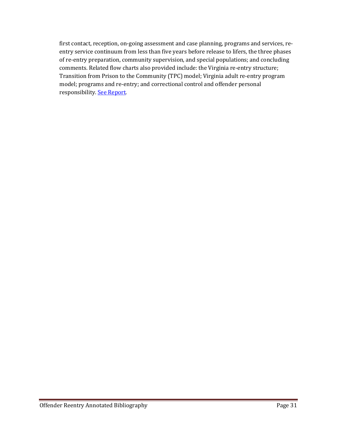first contact, reception, on-going assessment and case planning, programs and services, reentry service continuum from less than five years before release to lifers, the three phases of re-entry preparation, community supervision, and special populations; and concluding comments. Related flow charts also provided include: the Virginia re-entry structure; Transition from Prison to the Community (TPC) model; Virginia adult re-entry program model; programs and re-entry; and correctional control and offender personal responsibility. [See Report.](http://www.vadoc.virginia.gov/documents/reentryInitiativeExecSummary.pdf)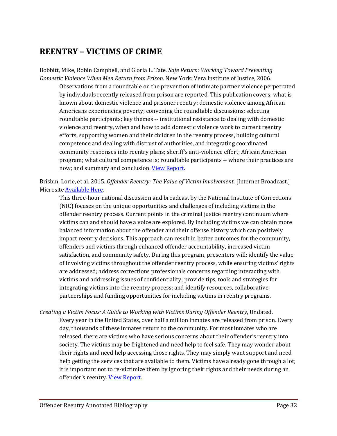# <span id="page-31-0"></span>**REENTRY – VICTIMS OF CRIME**

Bobbitt, Mike, Robin Campbell, and Gloria L. Tate. *Safe Return: Working Toward Preventing Domestic Violence When Men Return from Prison.* New York: Vera Institute of Justice, 2006.

Observations from a roundtable on the prevention of intimate partner violence perpetrated by individuals recently released from prison are reported. This publication covers: what is known about domestic violence and prisoner reentry; domestic violence among African Americans experiencing poverty; convening the roundtable discussions; selecting roundtable participants; key themes -- institutional resistance to dealing with domestic violence and reentry, when and how to add domestic violence work to current reentry efforts, supporting women and their children in the reentry process, building cultural competence and dealing with distrust of authorities, and integrating coordinated community responses into reentry plans; sheriff's anti-violence effort; African American program; what cultural competence is; roundtable participants -- where their practices are now; and summary and conclusion. [View Report.](http://www.safereturn.info/prison-parole-roundtables)

Brisbin, Lorie, et al. 2015. *Offender Reentry: The Value of Victim Involvement*. [Internet Broadcast.] Microsit[e Available Here.](http://info.nicic.gov/orvi/)

This three-hour national discussion and broadcast by the National Institute of Corrections (NIC) focuses on the unique opportunities and challenges of including victims in the offender reentry process. Current points in the criminal justice reentry continuum where victims can and should have a voice are explored. By including victims we can obtain more balanced information about the offender and their offense history which can positively impact reentry decisions. This approach can result in better outcomes for the community, offenders and victims through enhanced offender accountability, increased victim satisfaction, and community safety. During this program, presenters will: identify the value of involving victims throughout the offender reentry process, while ensuring victims' rights are addressed; address corrections professionals concerns regarding interacting with victims and addressing issues of confidentiality; provide tips, tools and strategies for integrating victims into the reentry process; and identify resources, collaborative partnerships and funding opportunities for including victims in reentry programs.

*Creating a Victim Focus: A Guide to Working with Victims During Offender Reentry*, Undated. Every year in the United States, over half a million inmates are released from prison. Every day, thousands of these inmates return to the community. For most inmates who are released, there are victims who have serious concerns about their offender's reentry into society. The victims may be frightened and need help to feel safe. They may wonder about their rights and need help accessing those rights. They may simply want support and need help getting the services that are available to them. Victims have already gone through a lot; it is important not to re-victimize them by ignoring their rights and their needs during an offender's reentry[. View Report.](http://www.navspic.org/policies/Creating%20A%20Victim%20Focus%20--%20During%20Offender%20Reentry.pdf)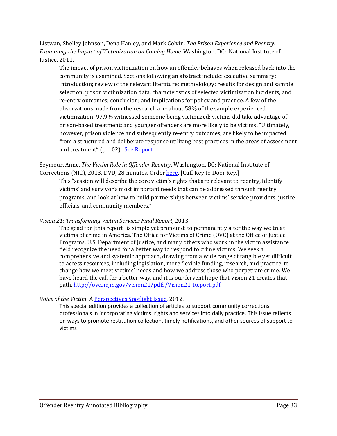Listwan, Shelley Johnson, Dena Hanley, and Mark Colvin. *The Prison Experience and Reentry: Examining the Impact of Victimization on Coming Home.* Washington, DC: National Institute of Justice, 2011.

The impact of prison victimization on how an offender behaves when released back into the community is examined. Sections following an abstract include: executive summary; introduction; review of the relevant literature; methodology; results for design and sample selection, prison victimization data, characteristics of selected victimization incidents, and re-entry outcomes; conclusion; and implications for policy and practice. A few of the observations made from the research are: about 58% of the sample experienced victimization; 97.9% witnessed someone being victimized; victims did take advantage of prison-based treatment; and younger offenders are more likely to be victims. "Ultimately, however, prison violence and subsequently re-entry outcomes, are likely to be impacted from a structured and deliberate response utilizing best practices in the areas of assessment and treatment" (p. 102). [See Report.](http://nicic.gov/Library/026041)

Seymour, Anne. *The Victim Role in Offender Reentry*. Washington, DC: National Institute of Corrections (NIC), 2013. DVD, 28 minutes. Order [here.](http://nicic.gov/contact/ask.aspx) [Cuff Key to Door Key.]

This "session will describe the core victim's rights that are relevant to reentry, Identify victims' and survivor's most important needs that can be addressed through reentry programs, and look at how to build partnerships between victims' service providers, justice officials, and community members."

*Vision 21: Transforming Victim Services Final Report,* 2013.

The goad for [this report] is simple yet profound: to permanently alter the way we treat victims of crime in America. The Office for Victims of Crime (OVC) at the Office of Justice Programs, U.S. Department of Justice, and many others who work in the victim assistance field recognize the need for a better way to respond to crime victims. We seek a comprehensive and systemic approach, drawing from a wide range of tangible yet difficult to access resources, including legislation, more flexible funding, research, and practice, to change how we meet victims' needs and how we address those who perpetrate crime. We have heard the call for a better way, and it is our fervent hope that Vision 21 creates that path. [http://ovc.ncjrs.gov/vision21/pdfs/Vision21\\_Report.pdf](http://ovc.ncjrs.gov/vision21/pdfs/Vision21_Report.pdf)

*Voice of the Victim*: [A Perspectives Spotlight Issue,](http://www.appa-net.org/eweb/docs/appa/pubs/Perspectives_2012_Spotlight.pdf) 2012.

This special edition provides a collection of articles to support community corrections professionals in incorporating victims' rights and services into daily practice. This issue reflects on ways to promote restitution collection, timely notifications, and other sources of support to victims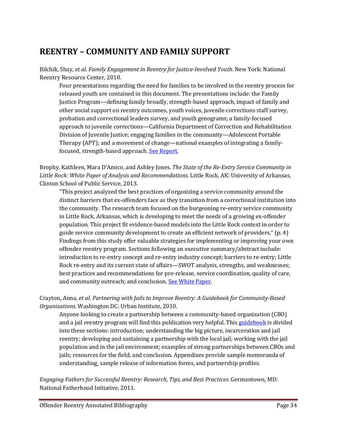# <span id="page-33-0"></span>**REENTRY – COMMUNITY AND FAMILY SUPPORT**

Bilchik, Shay, *et al*. *Family Engagement in Reentry for Justice-Involved Youth.* New York: National Reentry Resource Center, 2010.

Four presentations regarding the need for families to be involved in the reentry process for released youth are contained in this document. The presentations include: the Family Justice Program—defining family broadly, strength-based approach, impact of family and other social support on reentry outcomes, youth voices, juvenile corrections staff survey, probation and correctional leaders survey, and youth genograms; a family-focused approach to juvenile corrections—California Department of Correction and Rehabilitation Division of Juvenile Justice; engaging families in the community—Adolescent Portable Therapy (APT); and a movement of change—national examples of integrating a familyfocused, strength-based approach. See Report.

Brophy, Kathleen, Mara D'Amico, and Ashley Jones. *The State of the Re-Entry Service Community in Little Rock: White Paper of Analysis and Recommendations.* Little Rock, AK: University of Arkansas, Clinton School of Public Service, 2013.

"This project analyzed the best practices of organizing a service community around the distinct barriers that ex-offenders face as they transition from a correctional institution into the community. The research team focused on the burgeoning re-entry service community in Little Rock, Arkansas, which is developing to meet the needs of a growing ex-offender population. This project fit evidence-based models into the Little Rock context in order to guide service community development to create an efficient network of providers." (p. 4) Findings from this study offer valuable strategies for implementing or improving your own offender reentry program. Sections following an executive summary/abstract include: introduction to re-entry concept and re-entry industry concept; barriers to re-entry; Little Rock re-entry and its current state of affairs—SWOT analysis, strengths, and weaknesses; best practices and recommendations for pre-release, service coordination, quality of care, and community outreach; and conclusion. See White Paper.

#### Crayton, Anna, *et al*. *Partnering with Jails to Improve Reentry: A Guidebook for Community-Based Organizations.* Washington DC: Urban Institute, 2010.

Anyone looking to create a partnership between a community-based organization (CBO) and a jail reentry program will find this publication very helpful. This [guidebook](http://nicic.gov/Library/024702) is divided into these sections: introduction; understanding the big picture, incarceration and jail reentry; developing and sustaining a partnership with the local jail; working with the jail population and in the jail environment; examples of strong partnerships between CBOs and jails; resources for the field; and conclusion. Appendixes provide sample memoranda of understanding, sample release of information forms, and partnership profiles.

*Engaging Fathers for Successful Reentry: Research, Tips, and Best Practices*. Germantown, MD: National Fatherhood Initiative, 2011.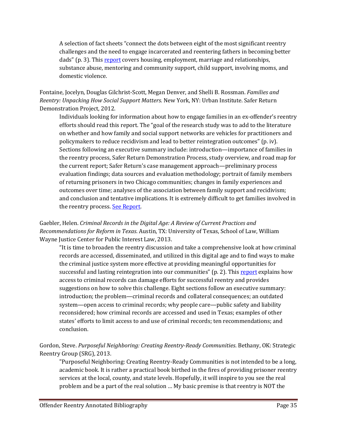A selection of fact sheets "connect the dots between eight of the most significant reentry challenges and the need to engage incarcerated and reentering fathers in becoming better dads" (p. 3). Thi[s report](http://nicic.gov/Library/025155) covers housing, employment, marriage and relationships, substance abuse, mentoring and community support, child support, involving moms, and domestic violence.

Fontaine, Jocelyn, Douglas Gilchrist-Scott, Megan Denver, and Shelli B. Rossman. *Families and Reentry: Unpacking How Social Support Matters.* New York, NY: Urban Institute. Safer Return Demonstration Project, 2012.

Individuals looking for information about how to engage families in an ex-offender's reentry efforts should read this report. The "goal of the research study was to add to the literature on whether and how family and social support networks are vehicles for practitioners and policymakers to reduce recidivism and lead to better reintegration outcomes" (p. iv). Sections following an executive summary include: introduction—importance of families in the reentry process, Safer Return Demonstration Process, study overview, and road map for the current report; Safer Return's case management approach—preliminary process evaluation findings; data sources and evaluation methodology; portrait of family members of returning prisoners in two Chicago communities; changes in family experiences and outcomes over time; analyses of the association between family support and recidivism; and conclusion and tentative implications. It is extremely difficult to get families involved in the reentry process. [See Report.](http://www.urban.org/research/publication/families-and-reentry-unpacking-how-social-support-matters)

Gaebler, Helen. *Criminal Records in the Digital Age: A Review of Current Practices and Recommendations for Reform in Texas*. Austin, TX: University of Texas, School of Law, William Wayne Justice Center for Public Interest Law, 2013.

"It is time to broaden the reentry discussion and take a comprehensive look at how criminal records are accessed, disseminated, and utilized in this digital age and to find ways to make the criminal justice system more effective at providing meaningful opportunities for successful and lasting reintegration into our communities" (p. 2). This [report](http://nicic.gov/library/027251) explains how access to criminal records can damage efforts for successful reentry and provides suggestions on how to solve this challenge. Eight sections follow an executive summary: introduction; the problem—criminal records and collateral consequences; an outdated system—open access to criminal records; why people care—public safety and liability reconsidered; how criminal records are accessed and used in Texas; examples of other states' efforts to limit access to and use of criminal records; ten recommendations; and conclusion.

Gordon, Steve. *Purposeful Neighboring: Creating Reentry-Ready Communities*. Bethany, OK: Strategic Reentry Group (SRG), 2013.

"Purposeful Neighboring: Creating Reentry-Ready Communities is not intended to be a long, academic book. It is rather a practical book birthed in the fires of providing prisoner reentry services at the local, county, and state levels. Hopefully, it will inspire to you see the real problem and be a part of the real solution … My basic premise is that reentry is NOT the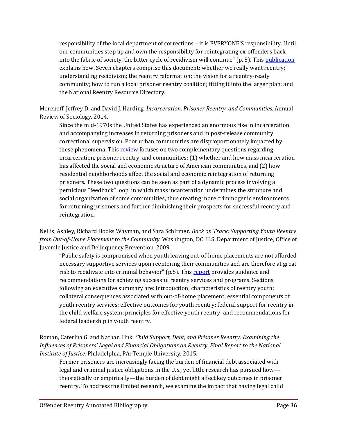responsibility of the local department of corrections – it is EVERYONE'S responsibility. Until our communities step up and own the responsibility for reintegrating ex-offenders back into the fabric of society, the bitter cycle of recidivism will continue" (p. 5). This [publication](http://nicic.gov/library/029704) explains how. Seven chapters comprise this document: whether we really want reentry; understanding recidivism; the reentry reformation; the vision for a reentry-ready community; how to run a local prisoner reentry coalition; fitting it into the larger plan; and the National Reentry Resource Directory.

Morenoff, Jeffrey D. and David J. Harding. *Incarceration, Prisoner Reentry, and Communities.* Annual Review of Sociology, 2014.

Since the mid-1970s the United States has experienced an enormous rise in incarceration and accompanying increases in returning prisoners and in post-release community correctional supervision. Poor urban communities are disproportionately impacted by these phenomena. Thi[s review](http://www.ncbi.nlm.nih.gov/pmc/articles/PMC4231529/) focuses on two complementary questions regarding incarceration, prisoner reentry, and communities: (1) whether and how mass incarceration has affected the social and economic structure of American communities, and (2) how residential neighborhoods affect the social and economic reintegration of returning prisoners. These two questions can be seen as part of a dynamic process involving a pernicious "feedback" loop, in which mass incarceration undermines the structure and social organization of some communities, thus creating more criminogenic environments for returning prisoners and further diminishing their prospects for successful reentry and reintegration.

Nellis, Ashley, Richard Hooks Wayman, and Sara Schirmer. *Back on Track: Supporting Youth Reentry from Out-of-Home Placement to the Community.* Washington, DC: U.S. Department of Justice, Office of Juvenile Justice and Delinquency Prevention, 2009.

"Public safety is compromised when youth leaving out-of-home placements are not afforded necessary supportive services upon reentering their communities and are therefore at great risk to recidivate into criminal behavior" (p.5). This [report](http://nicic.gov/Library/024165) provides guidance and recommendations for achieving successful reentry services and programs. Sections following an executive summary are: introduction; characteristics of reentry youth; collateral consequences associated with out-of-home placement; essential components of youth reentry services; effective outcomes for youth reentry; federal support for reentry in the child welfare system; principles for effective youth reentry; and recommendations for federal leadership in youth reentry.

Roman, Caterina G. and Nathan Link. *Child Support, Debt, and Prisoner Reentry: Examining the Influences of Prisoners' Legal and Financial Obligations on Reentry. Final Report to the National Institute of Justice.* Philadelphia, PA: Temple University, 2015.

Former prisoners are increasingly facing the burden of financial debt associated with legal and criminal justice obligations in the U.S., yet little research has pursued how theoretically or empirically—the burden of debt might affect key outcomes in prisoner reentry. To address the limited research, we examine the impact that having legal child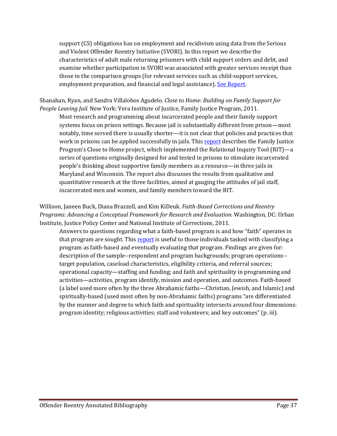support (CS) obligations has on employment and recidivism using data from the Serious and Violent Offender Reentry Initiative (SVORI). In this report we describe the characteristics of adult male returning prisoners with child support orders and debt, and examine whether participation in SVORI was associated with greater services receipt than those in the comparison groups (for relevant services such as child-support services, employment preparation, and financial and legal assistance). [See Report.](https://www.ncjrs.gov/pdffiles1/nij/grants/248906.pdf)

Shanahan, Ryan, and Sandra Villalobos Agudelo. *Close to Home: Building on Family Support for People Leaving Jail.* New York: Vera Institute of Justice, Family Justice Program, 2011.

Most research and programming about incarcerated people and their family support systems focus on prison settings. Because jail is substantially different from prison—most notably, time served there is usually shorter—it is not clear that policies and practices that work in prisons can be applied successfully in jails. This [report](http://www.vera.org/content/close-home-building-family-support-people-leaving-jail) describes the Family Justice Program's Close to Home project, which implemented the Relational Inquiry Tool (RIT)—a series of questions originally designed for and tested in prisons to stimulate incarcerated people's thinking about supportive family members as a resource—in three jails in Maryland and Wisconsin. The report also discusses the results from qualitative and quantitative research at the three facilities, aimed at gauging the attitudes of jail staff, incarcerated men and women, and family members toward the RIT.

Willison, Janeen Buck, Diana Brazzell, and Kim KiDeuk. *Faith-Based Corrections and Reentry Programs: Advancing a Conceptual Framework for Research and Evaluation.* Washington, DC: Urban Institute, Justice Policy Center and National Institute of Corrections, 2011.

Answers to questions regarding what a faith-based program is and how "faith" operates in that program are sought. This [report](http://nicic.gov/library/025853) is useful to those individuals tasked with classifying a program as faith-based and eventually evaluating that program. Findings are given for: description of the sample--respondent and program backgrounds; program operations- target population, caseload characteristics, eligibility criteria, and referral sources; operational capacity—staffing and funding; and faith and spirituality in programming and activities—activities, program identify, mission and operation, and outcomes. Faith-based (a label used more often by the three Abrahamic faiths—Christian, Jewish, and Islamic) and spiritually-based (used most often by non-Abrahamic faiths) programs "are differentiated by the manner and degree to which faith and spirituality intersects around four dimensions: program identity; religious activities; staff and volunteers; and key outcomes" (p. iii).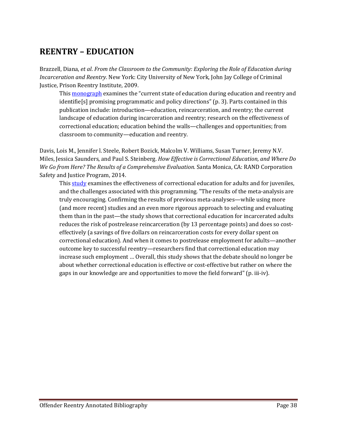# <span id="page-37-0"></span>**REENTRY – EDUCATION**

Brazzell, Diana, *et al*. *From the Classroom to the Community: Exploring the Role of Education during Incarceration and Reentry.* New York: City University of New York, John Jay College of Criminal Justice, Prison Reentry Institute, 2009.

This **monograph** examines the "current state of education during education and reentry and identifie[s] promising programmatic and policy directions" (p. 3). Parts contained in this publication include: introduction—education, reincarceration, and reentry; the current landscape of education during incarceration and reentry; research on the effectiveness of correctional education; education behind the walls—challenges and opportunities; from classroom to community—education and reentry.

Davis, Lois M., Jennifer l. Steele, Robert Bozick, Malcolm V. Williams, Susan Turner, Jeremy N.V. Miles, Jessica Saunders, and Paul S. Steinberg. *How Effective is Correctional Education, and Where Do We Go from Here? The Results of a Comprehensive Evaluation.* Santa Monica, CA: RAND Corporation Safety and Justice Program, 2014.

This [study](http://nicic.gov/library/029836) examines the effectiveness of correctional education for adults and for juveniles, and the challenges associated with this programming. "The results of the meta-analysis are truly encouraging. Confirming the results of previous meta-analyses—while using more (and more recent) studies and an even more rigorous approach to selecting and evaluating them than in the past—the study shows that correctional education for incarcerated adults reduces the risk of postrelease reincarceration (by 13 percentage points) and does so costeffectively (a savings of five dollars on reincarceration costs for every dollar spent on correctional education). And when it comes to postrelease employment for adults—another outcome key to successful reentry—researchers find that correctional education may increase such employment … Overall, this study shows that the debate should no longer be about whether correctional education is effective or cost-effective but rather on where the gaps in our knowledge are and opportunities to move the field forward" (p. iii-iv).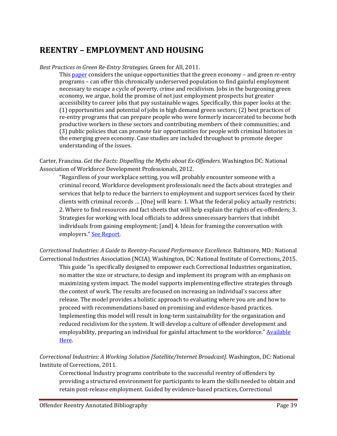### <span id="page-38-0"></span>**REENTRY – EMPLOYMENT AND HOUSING**

#### *Best Practices in Green Re-Entry Strategies.* Green for All, 2011.

This [paper](http://greenforall.org.s3.amazonaws.com/pdf/GFA-Reentry-Paper.pdf) considers the unique opportunities that the green economy – and green re-entry programs – can offer this chronically underserved population to find gainful employment necessary to escape a cycle of poverty, crime and recidivism. Jobs in the burgeoning green economy, we argue, hold the promise of not just employment prospects but greater accessibility to career jobs that pay sustainable wages. Specifically, this paper looks at the: (1) opportunities and potential of jobs in high demand green sectors; (2) best practices of re-entry programs that can prepare people who were formerly incarcerated to become both productive workers in these sectors and contributing members of their communities; and (3) public policies that can promote fair opportunities for people with criminal histories in the emerging green economy. Case studies are included throughout to promote deeper understanding of the issues.

Carter, Francina. *Get the Facts: Dispelling the Myths about Ex-Offenders*. Washington DC: National Association of Workforce Development Professionals, 2012.

"Regardless of your workplace setting, you will probably encounter someone with a criminal record. Workforce development professionals need the facts about strategies and services that help to reduce the barriers to employment and support services faced by their clients with criminal records … [One] will learn: 1. What the federal policy actually restricts; 2. Where to find resources and fact sheets that will help explain the rights of ex-offenders; 3. Strategies for working with local officials to address unnecessary barriers that inhibit individuals from gaining employment; [and] 4. Ideas for framing the conversation with employers.[" See Report.](http://www.nawdp.org/Content/NavigationMenu/WorkforceDevelopment/eLearning/Dispelling_the_Myths.htm) 

*Correctional Industries: A Guide to Reentry-Focused Performance Excellence*. Baltimore, MD.: National Correctional Industries Association (NCIA). Washington, DC: National Institute of Corrections, 2015.

This guide "is specifically designed to empower each Correctional Industries organization, no matter the size or structure, to design and implement its program with an emphasis on maximizing system impact. The model supports implementing effective strategies through the context of work. The results are focused on increasing an individual's success after release. The model provides a holistic approach to evaluating where you are and how to proceed with recommendations based on promising and evidence-based practices. Implementing this model will result in long-term sustainability for the organization and reduced recidivism for the system. It will develop a culture of offender development and employability, preparing an individual for gainful attachment to the workforce." Available [Here.](http://info.nicic.gov/cirs/)

*Correctional Industries: A Working Solution [Satellite/Internet Broadcast].* Washington, DC: National Institute of Corrections, 2011.

Correctional Industry programs contribute to the successful reentry of offenders by providing a structured environment for participants to learn the skills needed to obtain and retain post-release employment. Guided by evidence-based practices, Correctional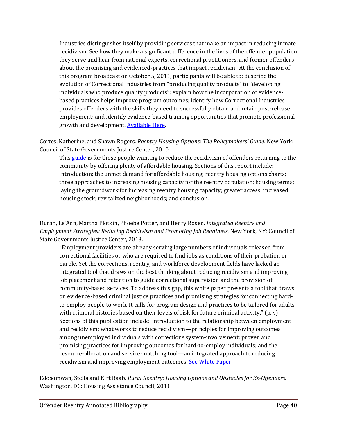Industries distinguishes itself by providing services that make an impact in reducing inmate recidivism. See how they make a significant difference in the lives of the offender population they serve and hear from national experts, correctional practitioners, and former offenders about the promising and evidenced-practices that impact recidivism. At the conclusion of this program broadcast on October 5, 2011, participants will be able to: describe the evolution of Correctional Industries from "producing quality products" to "developing individuals who produce quality products"; explain how the incorporation of evidencebased practices helps improve program outcomes; identify how Correctional Industries provides offenders with the skills they need to successfully obtain and retain post-release employment; and identify evidence-based training opportunities that promote professional growth and development. **Available Here.** 

Cortes, Katherine, and Shawn Rogers. *Reentry Housing Options: The Policymakers' Guide.* New York: Council of State Governments Justice Center, 2010.

This [guide](http://nicic.gov/Library/024426) is for those people wanting to reduce the recidivism of offenders returning to the community by offering plenty of affordable housing. Sections of this report include: introduction; the unmet demand for affordable housing; reentry housing options charts; three approaches to increasing housing capacity for the reentry population; housing terms; laying the groundwork for increasing reentry housing capacity; greater access; increased housing stock; revitalized neighborhoods; and conclusion.

Duran, Le'Ann, Martha Plotkin, Phoebe Potter, and Henry Rosen. *Integrated Reentry and Employment Strategies: Reducing Recidivism and Promoting Job Readiness*. New York, NY: Council of State Governments Justice Center, 2013.

"Employment providers are already serving large numbers of individuals released from correctional facilities or who are required to find jobs as conditions of their probation or parole. Yet the corrections, reentry, and workforce development fields have lacked an integrated tool that draws on the best thinking about reducing recidivism and improving job placement and retention to guide correctional supervision and the provision of community-based services. To address this gap, this white paper presents a tool that draws on evidence-based criminal justice practices and promising strategies for connecting hardto-employ people to work. It calls for program design and practices to be tailored for adults with criminal histories based on their levels of risk for future criminal activity."  $(p, v)$ Sections of this publication include: introduction to the relationship between employment and recidivism; what works to reduce recidivism—principles for improving outcomes among unemployed individuals with corrections system-involvement; proven and promising practices for improving outcomes for hard-to-employ individuals; and the resource-allocation and service-matching tool—an integrated approach to reducing recidivism and improving employment outcomes. [See White Paper.](http://nicic.gov/library/027628)

Edosomwan, Stella and Kirt Baab. *Rural Reentry: Housing Options and Obstacles for Ex-Offenders*. Washington, DC: Housing Assistance Council, 2011.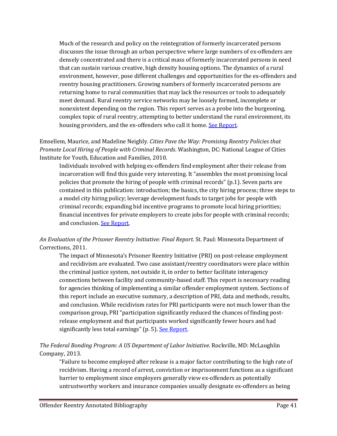Much of the research and policy on the reintegration of formerly incarcerated persons discusses the issue through an urban perspective where large numbers of ex-offenders are densely concentrated and there is a critical mass of formerly incarcerated persons in need that can sustain various creative, high density housing options. The dynamics of a rural environment, however, pose different challenges and opportunities for the ex-offenders and reentry housing practitioners. Growing numbers of formerly incarcerated persons are returning home to rural communities that may lack the resources or tools to adequately meet demand. Rural reentry service networks may be loosely formed, incomplete or nonexistent depending on the region. This report serves as a probe into the burgeoning, complex topic of rural reentry, attempting to better understand the rural environment, its housing providers, and the ex-offenders who call it home. [See Report.](http://www.ruralhome.org/storage/research_notes/rural_reentry_12-2011.pdf)

Emsellem, Maurice, and Madeline Neighly. *Cities Pave the Way: Promising Reentry Policies that Promote Local Hiring of People with Criminal Records*. Washington, DC: National League of Cities Institute for Youth, Education and Families, 2010.

Individuals involved with helping ex-offenders find employment after their release from incarceration will find this guide very interesting. It "assembles the most promising local policies that promote the hiring of people with criminal records" (p.1). Seven parts are contained in this publication: introduction; the basics, the city hiring process; three steps to a model city hiring policy; leverage development funds to target jobs for people with criminal records; expanding bid incentive programs to promote local hiring priorities; financial incentives for private employers to create jobs for people with criminal records; and conclusion. [See Report.](http://nicic.gov/Library/024622)

#### *An Evaluation of the Prisoner Reentry Initiative: Final Report.* St. Paul: Minnesota Department of Corrections, 2011.

The impact of Minnesota's Prisoner Reentry Initiative (PRI) on post-release employment and recidivism are evaluated. Two case assistant/reentry coordinators were place within the criminal justice system, not outside it, in order to better facilitate interagency connections between facility and community-based staff. This report is necessary reading for agencies thinking of implementing a similar offender employment system. Sections of this report include an executive summary, a description of PRI, data and methods, results, and conclusion. While recidivism rates for PRI participants were not much lower than the comparison group, PRI "participation significantly reduced the chances of finding postrelease employment and that participants worked significantly fewer hours and had significantly less total earnings" (p. 5). See Report.

#### *The Federal Bonding Program: A US Department of Labor Initiative*. Rockville, MD: McLaughlin Company, 2013.

"Failure to become employed after release is a major factor contributing to the high rate of recidivism. Having a record of arrest, conviction or imprisonment functions as a significant barrier to employment since employers generally view ex-offenders as potentially untrustworthy workers and insurance companies usually designate ex-offenders as being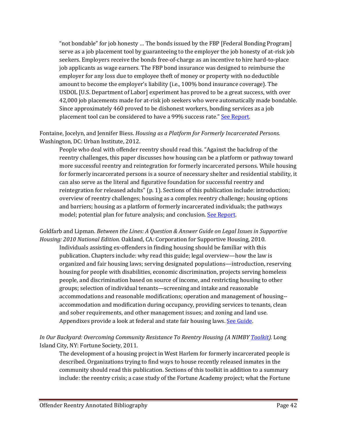"not bondable" for job honesty … The bonds issued by the FBP [Federal Bonding Program] serve as a job placement tool by guaranteeing to the employer the job honesty of at-risk job seekers. Employers receive the bonds free-of-charge as an incentive to hire hard-to-place job applicants as wage earners. The FBP bond insurance was designed to reimburse the employer for any loss due to employee theft of money or property with no deductible amount to become the employer's liability (i.e., 100% bond insurance coverage). The USDOL [U.S. Department of Labor] experiment has proved to be a great success, with over 42,000 job placements made for at-risk job seekers who were automatically made bondable. Since approximately 460 proved to be dishonest workers, bonding services as a job placement tool can be considered to have a 99% success rate." [See Report.](http://nicic.gov/library/027729)

Fontaine, Jocelyn, and Jennifer Biess. *Housing as a Platform for Formerly Incarcerated Persons.*  Washington, DC: Urban Institute, 2012.

People who deal with offender reentry should read this. "Against the backdrop of the reentry challenges, this paper discusses how housing can be a platform or pathway toward more successful reentry and reintegration for formerly incarcerated persons. While housing for formerly incarcerated persons is a source of necessary shelter and residential stability, it can also serve as the literal and figurative foundation for successful reentry and reintegration for released adults" (p. 1). Sections of this publication include: introduction; overview of reentry challenges; housing as a complex reentry challenge; housing options and barriers; housing as a platform of formerly incarcerated individuals; the pathways model; potential plan for future analysis; and conclusion[. See Report.](http://www.urban.org/publications/412552.html)

Goldfarb and Lipman. *Between the Lines: A Question & Answer Guide on Legal Issues in Supportive Housing: 2010 National Edition.* Oakland, CA*:* Corporation for Supportive Housing, 2010.

Individuals assisting ex-offenders in finding housing should be familiar with this publication. Chapters include: why read this guide; legal overview—how the law is organized and fair housing laws; serving designated populations—introduction, reserving housing for people with disabilities, economic discrimination, projects serving homeless people, and discrimination based on source of income, and restricting housing to other groups; selection of individual tenants—screening and intake and reasonable accommodations and reasonable modifications; operation and management of housing- accommodation and modification during occupancy, providing services to tenants, clean and sober requirements, and other management issues; and zoning and land use. Appendixes provide a look at federal and state fair housing laws. See Guide.

*In Our Backyard: Overcoming Community Resistance To Reentry Housing (A NIMBY [Toolkit\)](http://nicic.gov/Library/025305).* Long Island City, NY: Fortune Society, 2011.

The development of a housing project in West Harlem for formerly incarcerated people is described. Organizations trying to find ways to house recently released inmates in the community should read this publication. Sections of this toolkit in addition to a summary include: the reentry crisis; a case study of the Fortune Academy project; what the Fortune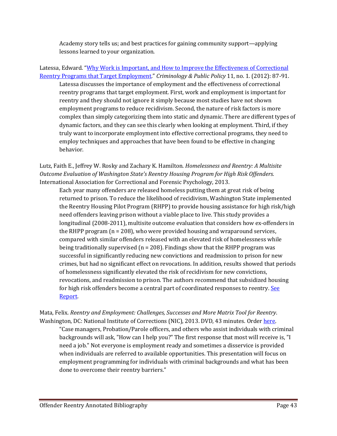Academy story tells us; and best practices for gaining community support—applying lessons learned to your organization.

Latessa, Edward. ["Why Work is Important, and How to Improve the Effectiveness of Correctional](http://onlinelibrary.wiley.com/doi/10.1111/j.1745-9133.2012.00790.x/abstract)  [Reentry Programs that Target Employment."](http://onlinelibrary.wiley.com/doi/10.1111/j.1745-9133.2012.00790.x/abstract) *Criminology & Public Policy* 11, no. 1. (2012): 87-91.

Latessa discusses the importance of employment and the effectiveness of correctional reentry programs that target employment. First, work and employment is important for reentry and they should not ignore it simply because most studies have not shown employment programs to reduce recidivism. Second, the nature of risk factors is more complex than simply categorizing them into static and dynamic. There are different types of dynamic factors, and they can see this clearly when looking at employment. Third, if they truly want to incorporate employment into effective correctional programs, they need to employ techniques and approaches that have been found to be effective in changing behavior.

Lutz, Faith E., Jeffrey W. Rosky and Zachary K. Hamilton. *Homelessness and Reentry: A Multisite Outcome Evaluation of Washington State's Reentry Housing Program for High Risk Offenders.*  International Association for Correctional and Forensic Psychology, 2013.

Each year many offenders are released homeless putting them at great risk of being returned to prison. To reduce the likelihood of recidivism, Washington State implemented the Reentry Housing Pilot Program (RHPP) to provide housing assistance for high risk/high need offenders leaving prison without a viable place to live. This study provides a longitudinal (2008-2011), multisite outcome evaluation that considers how ex-offenders in the RHPP program (n = 208), who were provided housing and wraparound services, compared with similar offenders released with an elevated risk of homelessness while being traditionally supervised  $(n = 208)$ . Findings show that the RHPP program was successful in significantly reducing new convictions and readmission to prison for new crimes, but had no significant effect on revocations. In addition, results showed that periods of homelessness significantly elevated the risk of recidivism for new convictions, revocations, and readmission to prison. The authors recommend that subsidized housing for high risk offenders become a central part of coordinated responses to reentry. See [Report.](https://wsicj.wsu.edu/wp-content/uploads/sites/436/2014/11/Criminal-Justice-and-Behavior-2014-Lutze-471-91.pdf)

Mata, Felix. *Reentry and Employment: Challenges, Successes and More Matrix Tool for Reentry*. Washington, DC: National Institute of Corrections (NIC), 2013. DVD, 43 minutes. Order [here.](http://nicic.gov/contact/ask.aspx)

"Case managers, Probation/Parole officers, and others who assist individuals with criminal backgrounds will ask, "How can I help you?" The first response that most will receive is, "I need a job." Not everyone is employment ready and sometimes a disservice is provided when individuals are referred to available opportunities. This presentation will focus on employment programming for individuals with criminal backgrounds and what has been done to overcome their reentry barriers."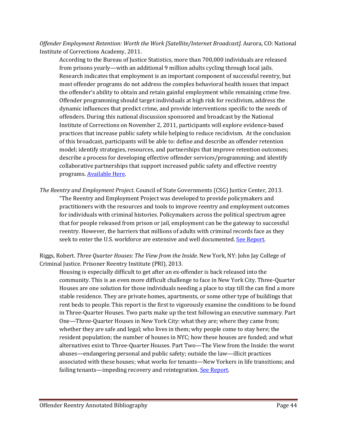*Offender Employment Retention: Worth the Work [Satellite/Internet Broadcast].* Aurora, CO: National Institute of Corrections Academy, 2011.

According to the Bureau of Justice Statistics, more than 700,000 individuals are released from prisons yearly—with an additional 9 million adults cycling through local jails. Research indicates that employment is an important component of successful reentry, but most offender programs do not address the complex behavioral health issues that impact the offender's ability to obtain and retain gainful employment while remaining crime free. Offender programming should target individuals at high risk for recidivism, address the dynamic influences that predict crime, and provide interventions specific to the needs of offenders. During this national discussion sponsored and broadcast by the National Institute of Corrections on November 2, 2011, participants will explore evidence-based practices that increase public safety while helping to reduce recidivism. At the conclusion of this broadcast, participants will be able to: define and describe an offender retention model; identify strategies, resources, and partnerships that improve retention outcomes; describe a process for developing effective offender services/programming; and identify collaborative partnerships that support increased public safety and effective reentry programs[. Available](http://nicic.gov/Library/024978) Here.

*The Reentry and Employment Project*. Council of State Governments (CSG) Justice Center, 2013. "The Reentry and Employment Project was developed to provide policymakers and practitioners with the resources and tools to improve reentry and employment outcomes for individuals with criminal histories. Policymakers across the political spectrum agree that for people released from prison or jail, employment can be the gateway to successful reentry. However, the barriers that millions of adults with criminal records face as they seek to enter the U.S. workforce are extensive and well documented. [See Report.](http://nicic.gov/library/027654)

Riggs, Robert. *Three Quarter Houses: The View from the Inside*. New York, NY: John Jay College of Criminal Justice. Prisoner Reentry Institute (PRI), 2013.

Housing is especially difficult to get after an ex-offender is back released into the community. This is an even more difficult challenge to face in New York City. Three-Quarter Houses are one solution for those individuals needing a place to stay till the can find a more stable residence. They are private homes, apartments, or some other type of buildings that rent beds to people. This report is the first to vigorously examine the conditions to be found in Three-Quarter Houses. Two parts make up the text following an executive summary. Part One—Three-Quarter Houses in New York City: what they are; where they came from; whether they are safe and legal; who lives in them; why people come to stay here; the resident population; the number of houses in NYC; how these houses are funded; and what alternatives exist to Three-Quarter Houses. Part Two—The View from the Inside: the worst abuses—endangering personal and public safety; outside the law—illicit practices associated with these houses; what works for tenants—New Yorkers in life transitions; and failing tenants—impeding recovery and reintegration. [See Report.](http://nicic.gov/library/027898)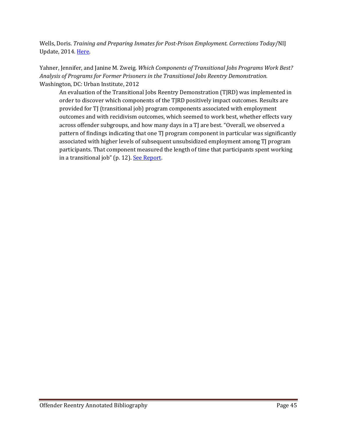Wells, Doris. *Training and Preparing Inmates for Post-Prison Employment. Corrections Today*/NIJ Update, 2014. [Here.](https://www.ncjrs.gov/pdffiles1/nij/248574.pdf)

Yahner, Jennifer, and Janine M. Zweig. *Which Components of Transitional Jobs Programs Work Best? Analysis of Programs for Former Prisoners in the Transitional Jobs Reentry Demonstration.*  Washington, DC: Urban Institute, 2012

An evaluation of the Transitional Jobs Reentry Demonstration (TJRD) was implemented in order to discover which components of the TJRD positively impact outcomes. Results are provided for TJ (transitional job) program components associated with employment outcomes and with recidivism outcomes, which seemed to work best, whether effects vary across offender subgroups, and how many days in a TJ are best. "Overall, we observed a pattern of findings indicating that one TJ program component in particular was significantly associated with higher levels of subsequent unsubsidized employment among TJ program participants. That component measured the length of time that participants spent working in a transitional job" (p. 12). [See Report.](http://www.urban.org/publications/412571.html)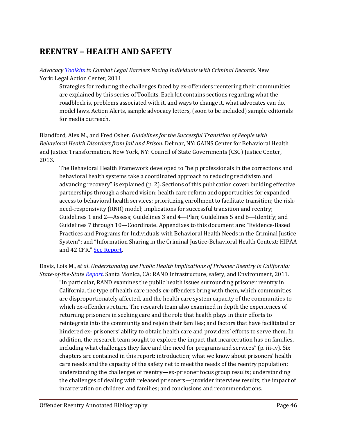# <span id="page-45-0"></span>**REENTRY – HEALTH AND SAFETY**

#### *Advocac[y Toolkits](http://www.lac.org/toolkits/Introduction.htm) to Combat Legal Barriers Facing Individuals with Criminal Records*. New York: Legal Action Center, 2011

Strategies for reducing the challenges faced by ex-offenders reentering their communities are explained by this series of Toolkits. Each kit contains sections regarding what the roadblock is, problems associated with it, and ways to change it, what advocates can do, model laws, Action Alerts, sample advocacy letters, (soon to be included) sample editorials for media outreach.

Blandford, Alex M., and Fred Osher. *Guidelines for the Successful Transition of People with Behavioral Health Disorders from Jail and Prison*. Delmar, NY: GAINS Center for Behavioral Health and Justice Transformation. New York, NY: Council of State Governments (CSG) Justice Center, 2013.

The Behavioral Health Framework developed to "help professionals in the corrections and behavioral health systems take a coordinated approach to reducing recidivism and advancing recovery" is explained (p. 2). Sections of this publication cover: building effective partnerships through a shared vision; health care reform and opportunities for expanded access to behavioral health services; prioritizing enrollment to facilitate transition; the riskneed-responsivity (RNR) model; implications for successful transition and reentry; Guidelines 1 and 2—Assess; Guidelines 3 and 4—Plan; Guidelines 5 and 6—Identify; and Guidelines 7 through 10—Coordinate. Appendixes to this document are: "Evidence-Based Practices and Programs for Individuals with Behavioral Health Needs in the Criminal Justice System"; and "Information Sharing in the Criminal Justice-Behavioral Health Context: HIPAA and 42 CFR." See Report.

Davis, Lois M., *et al*. *Understanding the Public Health Implications of Prisoner Reentry in California: State-of-the-State [Report.](http://nicic.gov/Library/026397)* Santa Monica, CA: RAND Infrastructure, safety, and Environment, 2011.

"In particular, RAND examines the public health issues surrounding prisoner reentry in California, the type of health care needs ex-offenders bring with them, which communities are disproportionately affected, and the health care system capacity of the communities to which ex-offenders return. The research team also examined in depth the experiences of returning prisoners in seeking care and the role that health plays in their efforts to reintegrate into the community and rejoin their families; and factors that have facilitated or hindered ex- prisoners' ability to obtain health care and providers' efforts to serve them. In addition, the research team sought to explore the impact that incarceration has on families, including what challenges they face and the need for programs and services" (p. iii-iv). Six chapters are contained in this report: introduction; what we know about prisoners' health care needs and the capacity of the safety net to meet the needs of the reentry population; understanding the challenges of reentry—ex-prisoner focus group results; understanding the challenges of dealing with released prisoners—provider interview results; the impact of incarceration on children and families; and conclusions and recommendations.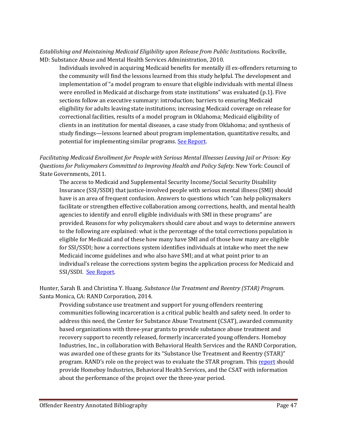*Establishing and Maintaining Medicaid Eligibility upon Release from Public Institutions.* Rockville, MD: Substance Abuse and Mental Health Services *A*dministration, 2010.

Individuals involved in acquiring Medicaid benefits for mentally ill ex-offenders returning to the community will find the lessons learned from this study helpful. The development and implementation of "a model program to ensure that eligible individuals with mental illness were enrolled in Medicaid at discharge from state institutions" was evaluated (p.1). Five sections follow an executive summary: introduction; barriers to ensuring Medicaid eligibility for adults leaving state institutions; increasing Medicaid coverage on release for correctional facilities, results of a model program in Oklahoma; Medicaid eligibility of clients in an institution for mental diseases, a case study from Oklahoma; and synthesis of study findings—lessons learned about program implementation, quantitative results, and potential for implementing similar programs. [See Report.](http://nicic.gov/Library/024645)

#### *Facilitating Medicaid Enrollment for People with Serious Mental Illnesses Leaving Jail or Prison: Key Questions for Policymakers Committed to Improving Health and Policy Safety.* New York: Council of State Governments, 2011.

The access to Medicaid and Supplemental Security Income/Social Security Disability Insurance (SSI/SSDI) that justice-involved people with serious mental illness (SMI) should have is an area of frequent confusion. Answers to questions which "can help policymakers facilitate or strengthen effective collaboration among corrections, health, and mental health agencies to identify and enroll eligible individuals with SMI in these programs" are provided. Reasons for why policymakers should care about and ways to determine answers to the following are explained: what is the percentage of the total corrections population is eligible for Medicaid and of these how many have SMI and of those how many are eligible for SSI/SSDI; how a corrections system identifies individuals at intake who meet the new Medicaid income guidelines and who also have SMI; and at what point prior to an individual's release the corrections system begins the application process for Medicaid and SSI/SSDI. [See Report.](http://nicic.gov/Library/025574)

Hunter, Sarah B. and Christina Y. Huang. *Substance Use Treatment and Reentry (STAR) Program.* Santa Monica, CA: RAND Corporation, 2014.

Providing substance use treatment and support for young offenders reentering communities following incarceration is a critical public health and safety need. In order to address this need, the Center for Substance Abuse Treatment (CSAT), awarded community based organizations with three-year grants to provide substance abuse treatment and recovery support to recently released, formerly incarcerated young offenders. Homeboy Industries, Inc., in collaboration with Behavioral Health Services and the RAND Corporation, was awarded one of these grants for its "Substance Use Treatment and Reentry (STAR)" program. RAND's role on the project was to evaluate the STAR program. This [report](http://www.rand.org/content/dam/rand/pubs/research_reports/RR500/RR572/RAND_RR572.pdf) should provide Homeboy Industries, Behavioral Health Services, and the CSAT with information about the performance of the project over the three-year period.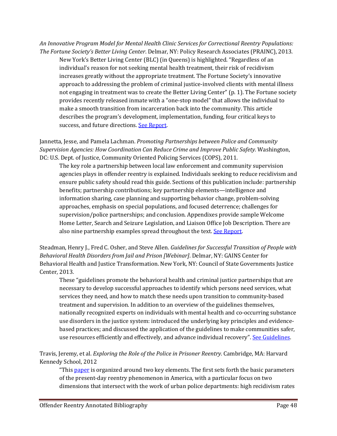*An Innovative Program Model for Mental Health Clinic Services for Correctional Reentry Populations: The Fortune Society's Better Living Center*. Delmar, NY: Policy Research Associates (PRAINC), 2013.

New York's Better Living Center (BLC) (in Queens) is highlighted. "Regardless of an individual's reason for not seeking mental health treatment, their risk of recidivism increases greatly without the appropriate treatment. The Fortune Society's innovative approach to addressing the problem of criminal justice-involved clients with mental illness not engaging in treatment was to create the Better Living Center" (p. 1). The Fortune society provides recently released inmate with a "one-stop model" that allows the individual to make a smooth transition from incarceration back into the community. This article describes the program's development, implementation, funding, four critical keys to success, and future directions. [See Report.](http://nicic.gov/library/027521)

Jannetta, Jesse, and Pamela Lachman. *Promoting Partnerships between Police and Community Supervision Agencies: How Coordination Can Reduce Crime and Improve Public Safety.* Washington, DC: U.S. Dept. of Justice, Community Oriented Policing Services (COPS), 2011.

The key role a partnership between local law enforcement and community supervision agencies plays in offender reentry is explained. Individuals seeking to reduce recidivism and ensure public safety should read this guide. Sections of this publication include: partnership benefits; partnership contributions; key partnership elements—intelligence and information sharing, case planning and supporting behavior change, problem-solving approaches, emphasis on special populations, and focused deterrence; challenges for supervision/police partnerships; and conclusion. Appendixes provide sample Welcome Home Letter, Search and Seizure Legislation, and Liaison Office Job Description. There are also nine partnership examples spread throughout the text. See Report.

Steadman, Henry J., Fred C. Osher, and Steve Allen. *Guidelines for Successful Transition of People with Behavioral Health Disorders from Jail and Prison [Webinar]*. Delmar, NY: GAINS Center for Behavioral Health and Justice Transformation. New York, NY: Council of State Governments Justice Center, 2013.

These "guidelines promote the behavioral health and criminal justice partnerships that are necessary to develop successful approaches to identify which persons need services, what services they need, and how to match these needs upon transition to community-based treatment and supervision. In addition to an overview of the guidelines themselves, nationally recognized experts on individuals with mental health and co-occurring substance use disorders in the justice system: introduced the underlying key principles and evidencebased practices; and discussed the application of the guidelines to make communities safer, use resources efficiently and effectively, and advance individual recovery". [See Guidelines.](http://nicic.gov/library/027642)

Travis, Jeremy, et al. *Exploring the Role of the Police in Prisoner Reentry.* Cambridge, MA: Harvard Kennedy School, 2012

"This [paper](https://ncjrs.gov/pdffiles1/nij/238337.pdf) is organized around two key elements. The first sets forth the basic parameters of the present-day reentry phenomenon in America, with a particular focus on two dimensions that intersect with the work of urban police departments: high recidivism rates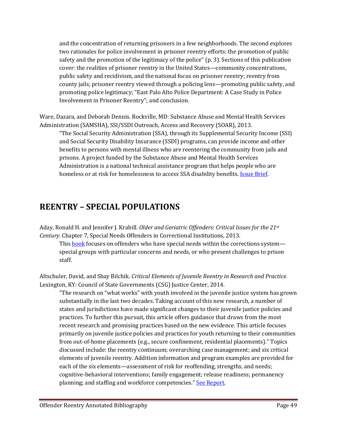and the concentration of returning prisoners in a few neighborhoods. The second explores two rationales for police involvement in prisoner reentry efforts: the promotion of public safety and the promotion of the legitimacy of the police" (p. 3). Sections of this publication cover: the realities of prisoner reentry in the United States—community concentrations, public safety and recidivism, and the national focus on prisoner reentry; reentry from county jails; prisoner reentry viewed through a policing lens—promoting public safety, and promoting police legitimacy; "East Palo Alto Police Department: A Case Study in Police Involvement in Prisoner Reentry"; and conclusion.

Ware, Dazara, and Deborah Dennis. Rockville, MD: Substance Abuse and Mental Health Services Administration (SAMSHA), SSI/SSDI Outreach, Access and Recovery (SOAR), 2013.

"The Social Security Administration (SSA), through its Supplemental Security Income (SSI) and Social Security Disability Insurance (SSDI) programs, can provide income and other benefits to persons with mental illness who are reentering the community from jails and prisons. A project funded by the Substance Abuse and Mental Health Services Administration is a national technical assistance program that helps people who are homeless or at risk for homelessness to access SSA disability benefits. *Issue Brief*.

# <span id="page-48-0"></span>**REENTRY – SPECIAL POPULATIONS**

Aday, Ronald H. and Jennifer J. Krabill. *Older and Geriatric Offenders: Critical Issues for the 21st Century.* Chapter 7, Special Needs Offenders in Correctional Institutions, 2013.

This **book** focuses on offenders who have special needs within the corrections system special groups with particular concerns and needs, or who present challenges to prison staff.

Altschuler, David, and Shay Bilchik. *Critical Elements of Juvenile Reentry in Research and Practice.*  Lexington, KY: Council of State Governments (CSG) Justice Center, 2014.

"The research on "what works" with youth involved in the juvenile justice system has grown substantially in the last two decades. Taking account of this new research, a number of states and jurisdictions have made significant changes to their juvenile justice policies and practices. To further this pursuit, this article offers guidance that draws from the most recent research and promising practices based on the new evidence. This article focuses primarily on juvenile justice policies and practices for youth returning to their communities from out-of-home placements (e.g., secure confinement, residential placements)." Topics discussed include: the reentry continuum; overarching case management; and six critical elements of juvenile reentry. Addition information and program examples are provided for each of the six elements—assessment of risk for reoffending, strengths, and needs; cognitive-behavioral interventions; family engagement; release readiness; permanency planning; and staffing and workforce competencies." [See Report.](http://nicic.gov/library/028156)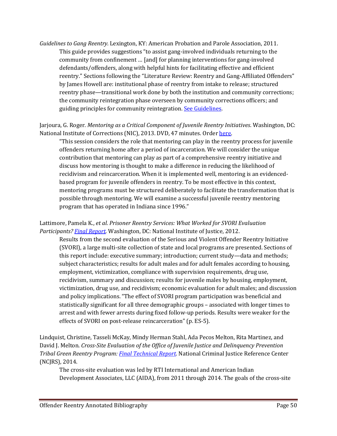*Guidelines to Gang Reentry.* Lexington, KY: American Probation and Parole Association, 2011. This guide provides suggestions "to assist gang-involved individuals returning to the community from confinement … [and] for planning interventions for gang-involved defendants/offenders, along with helpful hints for facilitating effective and efficient reentry." Sections following the "Literature Review: Reentry and Gang-Affiliated Offenders" by James Howell are: institutional phase of reentry from intake to release; structured reentry phase—transitional work done by both the institution and community corrections; the community reintegration phase overseen by community corrections officers; and guiding principles for community reintegration. See Guidelines.

Jarjoura, G. Roger. *Mentoring as a Critical Component of Juvenile Reentry Initiatives*. Washington, DC: National Institute of Corrections (NIC), 2013. DVD, 47 minutes. Orde[r here.](http://nicic.gov/contact/ask.aspx)

"This session considers the role that mentoring can play in the reentry process for juvenile offenders returning home after a period of incarceration. We will consider the unique contribution that mentoring can play as part of a comprehensive reentry initiative and discuss how mentoring is thought to make a difference in reducing the likelihood of recidivism and reincarceration. When it is implemented well, mentoring is an evidencedbased program for juvenile offenders in reentry. To be most effective in this context, mentoring programs must be structured deliberately to facilitate the transformation that is possible through mentoring. We will examine a successful juvenile reentry mentoring program that has operated in Indiana since 1996."

Lattimore, Pamela K., *et al*. *Prisoner Reentry Services: What Worked for SVORI Evaluation Participants? [Final Report.](http://nicic.gov/Library/026076)* Washington, DC: National Institute of Justice, 2012.

Results from the second evaluation of the Serious and Violent Offender Reentry Initiative (SVORI), a large multi-site collection of state and local programs are presented. Sections of this report include: executive summary; introduction; current study—data and methods; subject characteristics; results for adult males and for adult females according to housing, employment, victimization, compliance with supervision requirements, drug use, recidivism, summary and discussion; results for juvenile males by housing, employment, victimization, drug use, and recidivism; economic evaluation for adult males; and discussion and policy implications. "The effect of SVORI program participation was beneficial and statistically significant for all three demographic groups – associated with longer times to arrest and with fewer arrests during fixed follow-up periods. Results were weaker for the effects of SVORI on post-release reincarceration" (p. ES-5).

Lindquist, Christine, Tasseli McKay, Mindy Herman Stahl, Ada Pecos Melton, Rita Martinez, and David J. Melton. *Cross-Site Evaluation of the Office of Juvenile Justice and Delinquency Prevention Tribal Green Reentry Program: [Final Technical Report.](https://www.ncjrs.gov/pdffiles1/ojjdp/grants/248537.pdf)* National Criminal Justice Reference Center (NCJRS), 2014.

The cross-site evaluation was led by RTI International and American Indian Development Associates, LLC (AIDA), from 2011 through 2014. The goals of the cross-site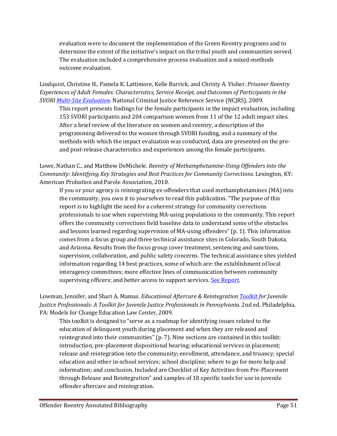evaluation were to document the implementation of the Green Reentry programs and to determine the extent of the initiative's impact on the tribal youth and communities served. The evaluation included a comprehensive process evaluation and a mixed-methods outcome evaluation.

Lindquist, Christine H., Pamela K. Lattimore, Kelle Barrick, and Christy A. Visher. *Prisoner Reentry Experiences of Adult Females: Characteristics, Service Receipt, and Outcomes of Participants in the SVORI [Multi-Site Evaluation.](https://www.ncjrs.gov/pdffiles1/nij/grants/230420.pdf)* National Criminal Justice Reference Service (NCJRS), 2009.

This report presents findings for the female participants in the impact evaluation, including 153 SVORI participants and 204 comparison women from 11 of the 12 adult impact sites. After a brief review of the literature on women and reentry, a description of the programming delivered to the women through SVORI funding, and a summary of the methods with which the impact evaluation was conducted, data are presented on the preand post-release characteristics and experiences among the female participants.

#### Lowe, Nathan C., and Matthew DeMichele. *Reentry of Methamphetamine-Using Offenders into the Community: Identifying Key Strategies and Best Practices for Community Corrections.* Lexington, KY: American Probation and Parole Association, 2010.

If you or your agency is reintegrating ex-offenders that used methamphetamines (MA) into the community, you own it to yourselves to read this publication. "The purpose of this report is to highlight the need for a coherent strategy for community corrections professionals to use when supervising MA-using populations in the community. This report offers the community corrections field baseline data to understand some of the obstacles and lessons learned regarding supervision of MA-using offenders" (p. 1). This information comes from a focus group and three technical assistance sites in Colorado, South Dakota, and Arizona. Results from the focus group cover treatment, sentencing and sanctions, supervision, collaboration, and public safety concerns. The technical assistance sites yielded information regarding 14 best practices, some of which are: the establishment of local interagency committees; more effective lines of communication between community supervising officers; and better access to support services[. See Report.](http://nicic.gov/Library/025734)

#### Lowman, Jennifer, and Shari A. Mamas. *Educational Aftercare & Reintegratio[n Toolkit](http://nicic.gov/Library/023952) for Juvenile Justice Professionals: A Toolkit for Juvenile Justice Professionals in Pennsylvania.* 2nd ed. Philadelphia, PA: Models for Change Education Law Center, 2009.

This toolkit is designed to "serve as a roadmap for identifying issues related to the education of delinquent youth during placement and when they are released and reintegrated into their communities" (p. 7). Nine sections are contained in this toolkit: introduction; pre-placement dispositional hearing; educational services in placement; release and reintegration into the community; enrollment, attendance, and truancy; special education and other in-school services; school discipline; where to go for more help and information; and conclusion. Included are Checklist of Key Activities from Pre-Placement through Release and Reintegration" and samples of 18 specific tools for use in juvenile offender aftercare and reintegration.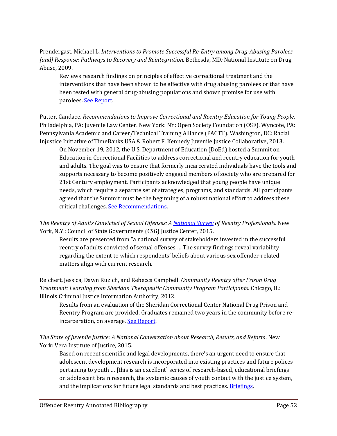Prendergast, Michael L. *Interventions to Promote Successful Re-Entry among Drug-Abusing Parolees [and] Response: Pathways to Recovery and Reintegration.* Bethesda, MD*:* National Institute on Drug Abuse, 2009.

Reviews research findings on principles of effective correctional treatment and the interventions that have been shown to be effective with drug abusing parolees or that have been tested with general drug-abusing populations and shown promise for use with parolees. [See Report.](http://nicic.gov/Library/024158)

Putter, Candace. *Recommendations to Improve Correctional and Reentry Education for Young People*. Philadelphia, PA: Juvenile Law Center. New York: NY: Open Society Foundation (OSF). Wyncote, PA: Pennsylvania Academic and Career/Technical Training Alliance (PACTT). Washington, DC: Racial Injustice Initiative of TimeBanks USA & Robert F. Kennedy Juvenile Justice Collaborative, 2013.

On November 19, 2012, the U.S. Department of Education (DoEd) hosted a Summit on Education in Correctional Facilities to address correctional and reentry education for youth and adults. The goal was to ensure that formerly incarcerated individuals have the tools and supports necessary to become positively engaged members of society who are prepared for 21st Century employment. Participants acknowledged that young people have unique needs, which require a separate set of strategies, programs, and standards. All participants agreed that the Summit must be the beginning of a robust national effort to address these critical challenges. [See Recommendations.](http://www.jlc.org/sites/default/files/publication_pdfs/Recs%20to%20Improve%20Correctional%20and%20Reentry%20Ed%20for%20Young%20People.pdf)

*The Reentry of Adults Convicted of Sexual Offenses: A [National Survey](http://nicic.gov/library/029806) of Reentry Professionals*. New York, N.Y.: Council of State Governments (CSG) Justice Center, 2015.

Results are presented from "a national survey of stakeholders invested in the successful reentry of adults convicted of sexual offenses … The survey findings reveal variability regarding the extent to which respondents' beliefs about various sex offender-related matters align with current research.

Reichert, Jessica, Dawn Ruzich, and Rebecca Campbell. *Community Reentry after Prison Drug Treatment: Learning from Sheridan Therapeutic Community Program Participants.* Chicago, IL: Illinois Criminal Justice Information Authority, 2012.

Results from an evaluation of the Sheridan Correctional Center National Drug Prison and Reentry Program are provided. Graduates remained two years in the community before re-incarceration, on average. [See Report.](http://nicic.gov/Library/025653)

*The State of Juvenile Justice: A National Conversation about Research, Results, and Reform*. New York: Vera Institute of Justice, 2015.

Based on recent scientific and legal developments, there's an urgent need to ensure that adolescent development research is incorporated into existing practices and future polices pertaining to youth … [this is an excellent] series of research-based, educational briefings on adolescent brain research, the systemic causes of youth contact with the justice system, and the implications for future legal standards and best practices. **Briefings**.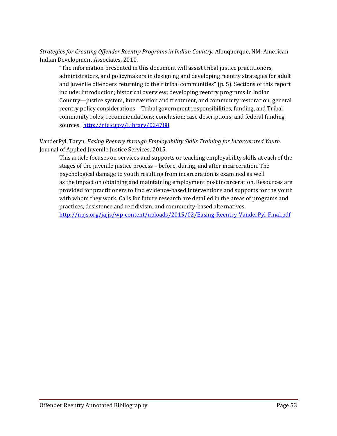*Strategies for Creating Offender Reentry Programs in Indian Country.* Albuquerque, NM: American Indian Development Associates, 2010.

"The information presented in this document will assist tribal justice practitioners, administrators, and policymakers in designing and developing reentry strategies for adult and juvenile offenders returning to their tribal communities" (p. 5). Sections of this report include: introduction; historical overview; developing reentry programs in Indian Country—justice system, intervention and treatment, and community restoration; general reentry policy considerations—Tribal government responsibilities, funding, and Tribal community roles; recommendations; conclusion; case descriptions; and federal funding sources. <http://nicic.gov/Library/024788>

VanderPyl, Taryn. *Easing Reentry through Employability Skills Training for Incarcerated Youth.*  Journal of Applied Juvenile Justice Services, 2015.

This article focuses on services and supports or teaching employability skills at each of the stages of the juvenile justice process – before, during, and after incarceration. The psychological damage to youth resulting from incarceration is examined as well as the impact on obtaining and maintaining employment post incarceration. Resources are provided for practitioners to find evidence-based interventions and supports for the youth with whom they work. Calls for future research are detailed in the areas of programs and practices, desistence and recidivism, and community-based alternatives. <http://npjs.org/jajjs/wp-content/uploads/2015/02/Easing-Reentry-VanderPyl-Final.pdf>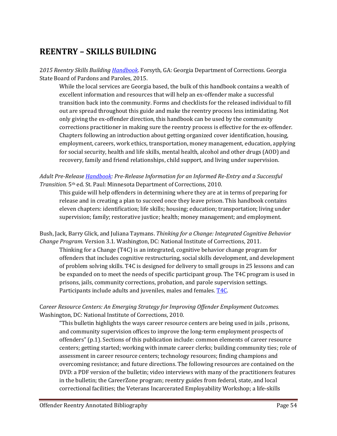# <span id="page-53-0"></span>**REENTRY – SKILLS BUILDING**

2*015 Reentry Skills Buildin[g Handbook](http://nicic.gov/Library/026067)*. Forsyth, GA: Georgia Department of Corrections. Georgia State Board of Pardons and Paroles, 2015.

While the local services are Georgia based, the bulk of this handbook contains a wealth of excellent information and resources that will help an ex-offender make a successful transition back into the community. Forms and checklists for the released individual to fill out are spread throughout this guide and make the reentry process less intimidating. Not only giving the ex-offender direction, this handbook can be used by the community corrections practitioner in making sure the reentry process is effective for the ex-offender. Chapters following an introduction about getting organized cover identification, housing, employment, careers, work ethics, transportation, money management, education, applying for social security, health and life skills, mental health, alcohol and other drugs (AOD) and recovery, family and friend relationships, child support, and living under supervision.

*Adult Pre-Release [Handbook:](http://nicic.gov/Library/024755) Pre-Release Information for an Informed Re-Entry and a Successful Transition.* 5th ed. St. Paul: Minnesota Department of Corrections, 2010.

This guide will help offenders in determining where they are at in terms of preparing for release and in creating a plan to succeed once they leave prison. This handbook contains eleven chapters: identification; life skills; housing; education; transportation; living under supervision; family; restorative justice; health; money management; and employment.

Bush, Jack, Barry Glick, and Juliana Taymans. *Thinking for a Change: Integrated Cognitive Behavior Change Program.* Version 3.1. Washington, DC: National Institute of Corrections, 2011.

Thinking for a Change (T4C) is an integrated, cognitive behavior change program for offenders that includes cognitive restructuring, social skills development, and development of problem solving skills. T4C is designed for delivery to small groups in 25 lessons and can be expanded on to meet the needs of specific participant group. The T4C program is used in prisons, jails, community corrections, probation, and parole supervision settings. Participants include adults and juveniles, males and females. [T4C.](http://nicic.gov/Library/025057)

C*areer Resource Centers: An Emerging Strategy for Improving Offender Employment Outcomes.*  Washington, DC: National Institute of Corrections, 2010.

"This bulletin highlights the ways career resource centers are being used in jails , prisons, and community supervision offices to improve the long-term employment prospects of offenders" (p.1). Sections of this publication include: common elements of career resource centers; getting started; working with inmate career clerks; building community ties; role of assessment in career resource centers; technology resources; finding champions and overcoming resistance; and future directions. The following resources are contained on the DVD: a PDF version of the bulletin; video interviews with many of the practitioners features in the bulletin; the CareerZone program; reentry guides from federal, state, and local correctional facilities; the Veterans Incarcerated Employability Workshop; a life-skills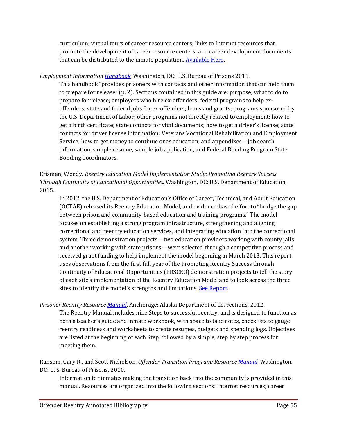curriculum; virtual tours of career resource centers; links to Internet resources that promote the development of career resource centers; and career development documents that can be distributed to the inmate population[. Available Here.](http://nicic.gov/Library/023066)

*Employment Information [Handbook.](http://nicic.gov/Library/024941)* Washington, DC: U.S. Bureau of Prisons 2011.

This handbook "provides prisoners with contacts and other information that can help them to prepare for release" (p. 2). Sections contained in this guide are: purpose; what to do to prepare for release; employers who hire ex-offenders; federal programs to help exoffenders; state and federal jobs for ex-offenders; loans and grants; programs sponsored by the U.S. Department of Labor; other programs not directly related to employment; how to get a birth certificate; state contacts for vital documents; how to get a driver's license; state contacts for driver license information; Veterans Vocational Rehabilitation and Employment Service; how to get money to continue ones education; and appendixes—job search information, sample resume, sample job application, and Federal Bonding Program State Bonding Coordinators.

Erisman, Wendy. *Reentry Education Model Implementation Study: Promoting Reentry Success Through Continuity of Educational Opportunities.* Washington, DC: U.S. Department of Education, 2015.

In 2012, the U.S. Department of Education's Office of Career, Technical, and Adult Education (OCTAE) released its Reentry Education Model, and evidence-based effort to "bridge the gap between prison and community-based education and training programs." The model focuses on establishing a strong program infrastructure, strengthening and aligning correctional and reentry education services, and integrating education into the correctional system. Three demonstration projects—two education providers working with county jails and another working with state prisons—were selected through a competitive process and received grant funding to help implement the model beginning in March 2013. This report uses observations from the first full year of the Promoting Reentry Success through Continuity of Educational Opportunities (PRSCEO) demonstration projects to tell the story of each site's implementation of the Reentry Education Model and to look across the three sites to identify the model's strengths and limitations. [See Report.](http://www2.ed.gov/about/offices/list/ovae/pi/AdultEd/reentry-education-model-implementation-study.pdf)

*Prisoner Reentry Resource [Manual](http://www.correct.state.ak.us/TskForce/documents/Re%20Entry%20All%20edited%20pg%2040.pdf)*. Anchorage: Alaska Department of Corrections, 2012.

The Reentry Manual includes nine Steps to successful reentry, and is designed to function as both a teacher's guide and inmate workbook, with space to take notes, checklists to gauge reentry readiness and worksheets to create resumes, budgets and spending logs. Objectives are listed at the beginning of each Step, followed by a simple, step by step process for meeting them.

Ransom, Gary R., and Scott Nicholson. *Offender Transition Program: Resource [Manual.](http://nicic.gov/Library/024942)* Washington, DC: U. S. Bureau of Prisons, 2010.

Information for inmates making the transition back into the community is provided in this manual. Resources are organized into the following sections: Internet resources; career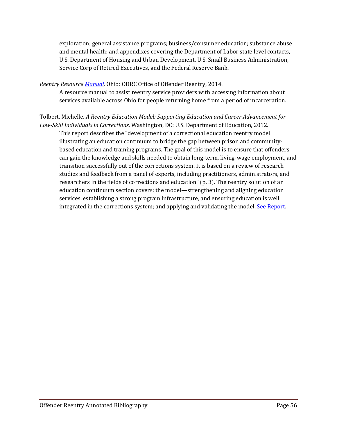exploration; general assistance programs; business/consumer education; substance abuse and mental health; and appendixes covering the Department of Labor state level contacts, U.S. Department of Housing and Urban Development, U.S. Small Business Administration, Service Corp of Retired Executives, and the Federal Reserve Bank.

*Reentry Resource [Manual.](http://jfs.athensoh.org/documents/ReentryResourceManual2014.pdf)* Ohio: ODRC Office of Offender Reentry, 2014.

A resource manual to assist reentry service providers with accessing information about services available across Ohio for people returning home from a period of incarceration.

#### Tolbert, Michelle. *A Reentry Education Model: Supporting Education and Career Advancement for Low-Skill Individuals in Corrections*. Washington, DC: U.S. Department of Education, 2012.

This report describes the "development of a correctional education reentry model illustrating an education continuum to bridge the gap between prison and communitybased education and training programs. The goal of this model is to ensure that offenders can gain the knowledge and skills needed to obtain long-term, living-wage employment, and transition successfully out of the corrections system. It is based on a review of research studies and feedback from a panel of experts, including practitioners, administrators, and researchers in the fields of corrections and education" (p. 3). The reentry solution of an education continuum section covers: the model—strengthening and aligning education services, establishing a strong program infrastructure, and ensuring education is well integrated in the corrections system; and applying and validating the model. [See Report.](http://nicic.gov/library/026895)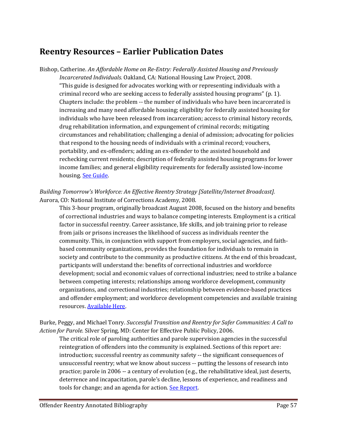### <span id="page-56-0"></span>**Reentry Resources – Earlier Publication Dates**

Bishop, Catherine. *An Affordable Home on Re-Entry: Federally Assisted Housing and Previously Incarcerated Individuals.* Oakland, CA: National Housing Law Project, 2008.

"This guide is designed for advocates working with or representing individuals with a criminal record who are seeking access to federally assisted housing programs" (p. 1). Chapters include: the problem -- the number of individuals who have been incarcerated is increasing and many need affordable housing; eligibility for federally assisted housing for individuals who have been released from incarceration; access to criminal history records, drug rehabilitation information, and expungement of criminal records; mitigating circumstances and rehabilitation; challenging a denial of admission; advocating for policies that respond to the housing needs of individuals with a criminal record; vouchers, portability, and ex-offenders; adding an ex-offender to the assisted household and rechecking current residents; description of federally assisted housing programs for lower income families; and general eligibility requirements for federally assisted low-income housing. [See Guide.](http://nicic.gov/Library/023734)

*Building Tomorrow's Workforce: An Effective Reentry Strategy [Satellite/Internet Broadcast].*  Aurora, CO: National Institute of Corrections Academy, 2008.

This 3-hour program, originally broadcast August 2008, focused on the history and benefits of correctional industries and ways to balance competing interests. Employment is a critical factor in successful reentry. Career assistance, life skills, and job training prior to release from jails or prisons increases the likelihood of success as individuals reenter the community. This, in conjunction with support from employers, social agencies, and faithbased community organizations, provides the foundation for individuals to remain in society and contribute to the community as productive citizens. At the end of this broadcast, participants will understand the: benefits of correctional industries and workforce development; social and economic values of correctional industries; need to strike a balance between competing interests; relationships among workforce development, community organizations, and correctional industries; relationship between evidence-based practices and offender employment; and workforce development competencies and available training resources. **Available Here**.

Burke, Peggy, and Michael Tonry. *Successful Transition and Reentry for Safer Communities: A Call to Action for Parole.* Silver Spring, MD: Center for Effective Public Policy, 2006.

The critical role of paroling authorities and parole supervision agencies in the successful reintegration of offenders into the community is explained. Sections of this report are: introduction; successful reentry as community safety -- the significant consequences of unsuccessful reentry; what we know about success -- putting the lessons of research into practice; parole in 2006 -- a century of evolution (e.g., the rehabilitative ideal, just deserts, deterrence and incapacitation, parole's decline, lessons of experience, and readiness and tools for change; and an agenda for action. [See Report.](http://www.cepp.com/documents/A%20Call%20to%20Action%20for%20Parole.pdf)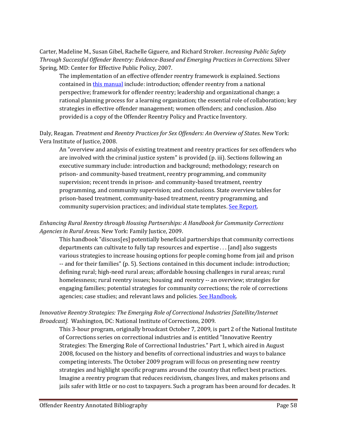Carter, Madeline M., Susan Gibel, Rachelle Giguere, and Richard Stroker. *Increasing Public Safety Through Successful Offender Reentry: Evidence-Based and Emerging Practices in Corrections.* Silver Spring, MD: Center for Effective Public Policy, 2007.

The implementation of an effective offender reentry framework is explained. Sections contained i[n this manual](http://nicic.gov/library/023247) include: introduction; offender reentry from a national perspective; framework for offender reentry; leadership and organizational change; a rational planning process for a learning organization; the essential role of collaboration; key strategies in effective offender management; women offenders; and conclusion. Also provided is a copy of the Offender Reentry Policy and Practice Inventory.

Daly, Reagan. *Treatment and Reentry Practices for Sex Offenders: An Overview of States*. New York: Vera Institute of Justice, 2008.

An "overview and analysis of existing treatment and reentry practices for sex offenders who are involved with the criminal justice system" is provided (p. iii). Sections following an executive summary include: introduction and background; methodology; research on prison- and community-based treatment, reentry programming, and community supervision; recent trends in prison- and community-based treatment, reentry programming, and community supervision; and conclusions. State overview tables for prison-based treatment, community-based treatment, reentry programming, and community supervision practices; and individual state templates. [See Report.](http://nicic.gov/Library/023455)

*Enhancing Rural Reentry through Housing Partnerships: A Handbook for Community Corrections Agencies in Rural Areas.* New York: Family Justice, 2009.

This handbook "discuss[es] potentially beneficial partnerships that community corrections departments can cultivate to fully tap resources and expertise . . . [and] also suggests various strategies to increase housing options for people coming home from jail and prison -- and for their families" (p. 5). Sections contained in this document include: introduction; defining rural; high-need rural areas; affordable housing challenges in rural areas; rural homelessness; rural reentry issues; housing and reentry -- an overview; strategies for engaging families; potential strategies for community corrections; the role of corrections agencies; case studies; and relevant laws and policies[. See Handbook.](http://nicic.gov/Library/023976)

#### *Innovative Reentry Strategies: The Emerging Role of Correctional Industries [Satellite/Internet Broadcast].* Washington, DC: National Institute of Corrections, 2009.

This 3-hour program, originally broadcast October 7, 2009, is part 2 of the National Institute of Corrections series on correctional industries and is entitled "Innovative Reentry Strategies: The Emerging Role of Correctional Industries." Part 1, which aired in August 2008, focused on the history and benefits of correctional industries and ways to balance competing interests. The October 2009 program will focus on presenting new reentry strategies and highlight specific programs around the country that reflect best practices. Imagine a reentry program that reduces recidivism, changes lives, and makes prisons and jails safer with little or no cost to taxpayers. Such a program has been around for decades. It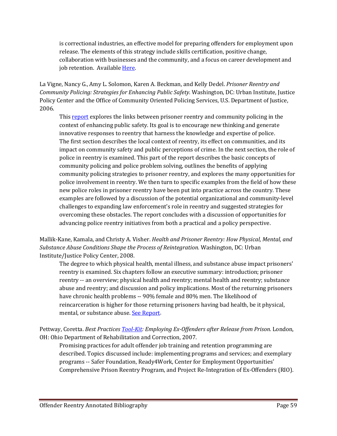is correctional industries, an effective model for preparing offenders for employment upon release. The elements of this strategy include skills certification, positive change, collaboration with businesses and the community, and a focus on career development and job retention. Available [Here.](http://nicic.gov/Library/024019)

La Vigne, Nancy G., Amy L. Solomon, Karen A. Beckman, and Kelly Dedel. *Prisoner Reentry and Community Policing: Strategies for Enhancing Public Safety.* Washington, DC: Urban Institute, Justice Policy Center and the Office of Community Oriented Policing Services, U.S. Department of Justice, 2006.

This [report](http://www.cops.usdoj.gov/pdf/publications/e12051219.pdf) explores the links between prisoner reentry and community policing in the context of enhancing public safety. Its goal is to encourage new thinking and generate innovative responses to reentry that harness the knowledge and expertise of police. The first section describes the local context of reentry, its effect on communities, and its impact on community safety and public perceptions of crime. In the next section, the role of police in reentry is examined. This part of the report describes the basic concepts of community policing and police problem solving, outlines the benefits of applying community policing strategies to prisoner reentry, and explores the many opportunities for police involvement in reentry. We then turn to specific examples from the field of how these new police roles in prisoner reentry have been put into practice across the country. These examples are followed by a discussion of the potential organizational and community-level challenges to expanding law enforcement's role in reentry and suggested strategies for overcoming these obstacles. The report concludes with a discussion of opportunities for advancing police reentry initiatives from both a practical and a policy perspective.

Mallik-Kane, Kamala, and Christy A. Visher. *Health and Prisoner Reentry: How Physical, Mental, and Substance Abuse Conditions Shape the Process of Reintegration.* Washington, DC: Urban Institute/Justice Policy Center, 2008.

The degree to which physical health, mental illness, and substance abuse impact prisoners' reentry is examined. Six chapters follow an executive summary: introduction; prisoner reentry -- an overview; physical health and reentry; mental health and reentry; substance abuse and reentry; and discussion and policy implications. Most of the returning prisoners have chronic health problems -- 90% female and 80% men. The likelihood of reincarceration is higher for those returning prisoners having bad health, be it physical, mental, or substance abuse. [See Report.](http://nicic.gov/Library/022922)

Pettway, Coretta. *Best Practices [Tool-Kit:](http://www.drc.state.oh.us/web/iej_files/Employing_Ex-Offenders.pdf) Employing Ex-Offenders after Release from Prison.* London, OH: Ohio Department of Rehabilitation and Correction, 2007.

Promising practices for adult offender job training and retention programming are described. Topics discussed include: implementing programs and services; and exemplary programs -- Safer Foundation, Ready4Work, Center for Employment Opportunities' Comprehensive Prison Reentry Program, and Project Re-Integration of Ex-Offenders (RIO).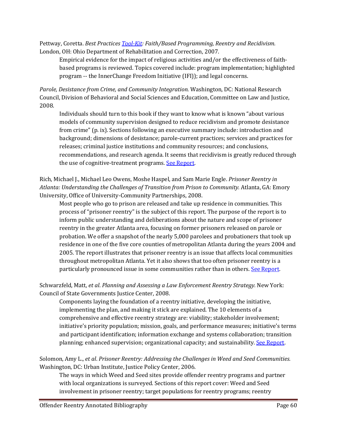Pettway, Coretta. *Best Practices [Tool-Kit:](http://www.drc.state.oh.us/web/iej_files/FaithProgramming_Reentry_Recidivism.pdf) Faith/Based Programming, Reentry and Recidivism.* London, OH: Ohio Department of Rehabilitation and Correction, 2007.

Empirical evidence for the impact of religious activities and/or the effectiveness of faithbased programs is reviewed. Topics covered include: program implementation; highlighted program -- the InnerChange Freedom Initiative (IFI)); and legal concerns.

*Parole, Desistance from Crime, and Community Integration.* Washington, DC: National Research Council, Division of Behavioral and Social Sciences and Education, Committee on Law and Justice, 2008.

Individuals should turn to this book if they want to know what is known "about various models of community supervision designed to reduce recidivism and promote desistance from crime" (p. ix). Sections following an executive summary include: introduction and background; dimensions of desistance; parole-current practices; services and practices for releases; criminal justice institutions and community resources; and conclusions, recommendations, and research agenda. It seems that recidivism is greatly reduced through the use of cognitive-treatment programs. See Report.

Rich, Michael J., Michael Leo Owens, Moshe Haspel, and Sam Marie Engle. *Prisoner Reentry in Atlanta: Understanding the Challenges of Transition from Prison to Community.* Atlanta, GA: Emory University, Office of University-Community Partnerships, 2008.

Most people who go to prison are released and take up residence in communities. This process of "prisoner reentry" is the subject of this report. The purpose of the report is to inform public understanding and deliberations about the nature and scope of prisoner reentry in the greater Atlanta area, focusing on former prisoners released on parole or probation. We offer a snapshot of the nearly 5,000 parolees and probationers that took up residence in one of the five core counties of metropolitan Atlanta during the years 2004 and 2005. The report illustrates that prisoner reentry is an issue that affects local communities throughout metropolitan Atlanta. Yet it also shows that too often prisoner reentry is a particularly pronounced issue in some communities rather than in others. [See Report.](http://oucp.emory.edu/PrisonerReentryAtlanta.pdf)

Schwarzfeld, Matt, *et al*. *Planning and Assessing a Law Enforcement Reentry Strategy.* New York: Council of State Governments Justice Center, 2008.

Components laying the foundation of a reentry initiative, developing the initiative, implementing the plan, and making it stick are explained. The 10 elements of a comprehensive and effective reentry strategy are: viability; stakeholder involvement; initiative's priority population; mission, goals, and performance measures; initiative's terms and participant identification; information exchange and systems collaboration; transition planning; enhanced supervision; organizational capacity; and sustainability. [See Report.](http://nicic.gov/Library/023295)

Solomon, Amy L., *et al*. *Prisoner Reentry: Addressing the Challenges in Weed and Seed Communities.*  Washington, DC: Urban Institute, Justice Policy Center, 2006.

The ways in which Weed and Seed sites provide offender reentry programs and partner with local organizations is surveyed. Sections of this report cover: Weed and Seed involvement in prisoner reentry; target populations for reentry programs; reentry